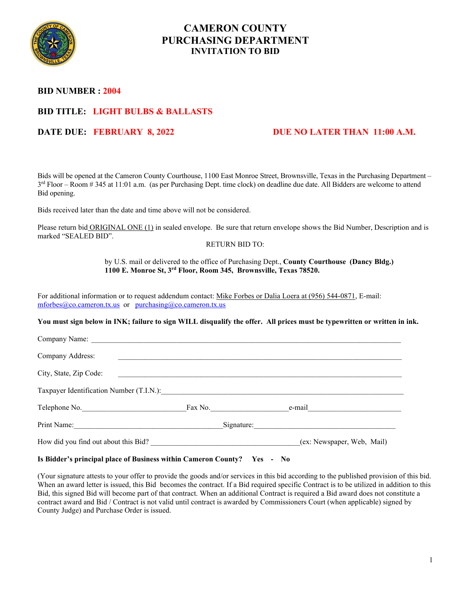

# **CAMERON COUNTY PURCHASING DEPARTMENT INVITATION TO BID**

## **BID NUMBER : 2004**

# **BID TITLE: LIGHT BULBS & BALLASTS**

# **DATE DUE: FEBRUARY 8, 2022** DUE NO LATER THAN 11:00 A.M.

Bids will be opened at the Cameron County Courthouse, 1100 East Monroe Street, Brownsville, Texas in the Purchasing Department – 3<sup>rd</sup> Floor – Room # 345 at 11:01 a.m. (as per Purchasing Dept. time clock) on deadline due date. All Bidders are welcome to attend Bid opening.

Bids received later than the date and time above will not be considered.

Please return bid ORIGINAL ONE (1) in sealed envelope. Be sure that return envelope shows the Bid Number, Description and is marked "SEALED BID".

### RETURN BID TO:

### by U.S. mail or delivered to the office of Purchasing Dept., **County Courthouse (Dancy Bldg.) 1100 E. Monroe St, 3rd Floor, Room 345, Brownsville, Texas 78520.**

For additional information or to request addendum contact: Mike Forbes or Dalia Loera at (956) 544-0871, E-mail: [mforbes@co.cameron.tx.us](mailto:mforbes@co.cameron.tx.us) or [purchasing@co.cameron.tx.us](mailto:purchasing@co.cameron.tx.us)

**You must sign below in INK; failure to sign WILL disqualify the offer. All prices must be typewritten or written in ink.**

| Company Name:                                                                                                                                                                                                                 |                                      |                         |                            |
|-------------------------------------------------------------------------------------------------------------------------------------------------------------------------------------------------------------------------------|--------------------------------------|-------------------------|----------------------------|
| Company Address:                                                                                                                                                                                                              |                                      |                         |                            |
| City, State, Zip Code:                                                                                                                                                                                                        |                                      |                         |                            |
| Taxpayer Identification Number (T.I.N.):                                                                                                                                                                                      |                                      |                         |                            |
| Telephone No.                                                                                                                                                                                                                 |                                      | Fax No. $\qquad \qquad$ | $e$ -mail $\qquad \qquad$  |
| Print Name: The Communication of the Communication of the Communication of the Communication of the Communication of the Communication of the Communication of the Communication of the Communication of the Communication of |                                      | Signature:              |                            |
|                                                                                                                                                                                                                               | How did you find out about this Bid? |                         | (ex: Newspaper, Web, Mail) |

## **Is Bidder's principal place of Business within Cameron County? Yes - No**

(Your signature attests to your offer to provide the goods and/or services in this bid according to the published provision of this bid. When an award letter is issued, this Bid becomes the contract. If a Bid required specific Contract is to be utilized in addition to this Bid, this signed Bid will become part of that contract. When an additional Contract is required a Bid award does not constitute a contract award and Bid / Contract is not valid until contract is awarded by Commissioners Court (when applicable) signed by County Judge) and Purchase Order is issued.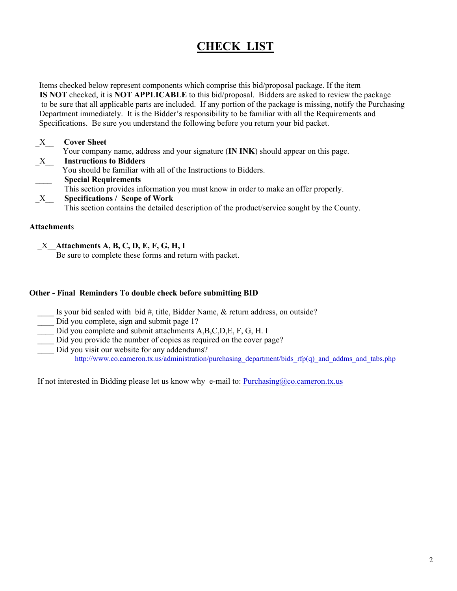# **CHECK LIST**

 Items checked below represent components which comprise this bid/proposal package. If the item **IS NOT** checked, it is **NOT APPLICABLE** to this bid/proposal. Bidders are asked to review the package to be sure that all applicable parts are included. If any portion of the package is missing, notify the Purchasing Department immediately. It is the Bidder's responsibility to be familiar with all the Requirements and Specifications. Be sure you understand the following before you return your bid packet.

| $X_{-}$      | <b>Cover Sheet</b>                                                                          |
|--------------|---------------------------------------------------------------------------------------------|
|              | Your company name, address and your signature (IN INK) should appear on this page.          |
| $\mathbf{X}$ | <b>Instructions to Bidders</b>                                                              |
|              | You should be familiar with all of the Instructions to Bidders.                             |
|              | <b>Special Requirements</b>                                                                 |
|              | This section provides information you must know in order to make an offer properly.         |
| X            | <b>Specifications / Scope of Work</b>                                                       |
|              | This section contains the detailed description of the product/service sought by the County. |

## **Attachment**s

\_X\_\_**Attachments A, B, C, D, E, F, G, H, I**

Be sure to complete these forms and return with packet.

## **Other - Final Reminders To double check before submitting BID**

- Is your bid sealed with bid #, title, Bidder Name, & return address, on outside?
- Did you complete, sign and submit page 1?
- Did you complete and submit attachments A,B,C,D,E, F, G, H. I
- Did you provide the number of copies as required on the cover page?
- Did you visit our website for any addendums? http://www.co.cameron.tx.us/administration/purchasing\_department/bids\_rfp(q)\_and\_addms\_and\_tabs.php

If not interested in Bidding please let us know why e-mail to:  $\frac{Purchasing@co.cameron.txt.us}{Purbasing@co.cameron.txt.us}$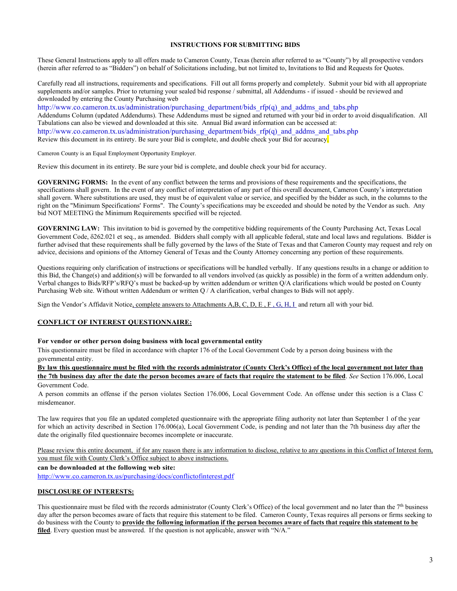#### **INSTRUCTIONS FOR SUBMITTING BIDS**

These General Instructions apply to all offers made to Cameron County, Texas (herein after referred to as "County") by all prospective vendors (herein after referred to as "Bidders") on behalf of Solicitations including, but not limited to, Invitations to Bid and Requests for Quotes.

Carefully read all instructions, requirements and specifications. Fill out all forms properly and completely. Submit your bid with all appropriate supplements and/or samples. Prior to returning your sealed bid response / submittal, all Addendums - if issued - should be reviewed and downloaded by entering the County Purchasing web

http://www.co.cameron.tx.us/administration/purchasing\_department/bids\_rfp(q)\_and\_addms\_and\_tabs.php Addendums Column (updated Addendums). These Addendums must be signed and returned with your bid in order to avoid disqualification. All Tabulations can also be viewed and downloaded at this site. Annual Bid award information can be accessed at: http://www.co.cameron.tx.us/administration/purchasing\_department/bids\_rfp(q)\_and\_addms\_and\_tabs.php Review this document in its entirety. Be sure your Bid is complete, and double check your Bid for accuracy.

Cameron County is an Equal Employment Opportunity Employer.

Review this document in its entirety. Be sure your bid is complete, and double check your bid for accuracy.

**GOVERNING FORMS:** In the event of any conflict between the terms and provisions of these requirements and the specifications, the specifications shall govern. In the event of any conflict of interpretation of any part of this overall document, Cameron County's interpretation shall govern. Where substitutions are used, they must be of equivalent value or service, and specified by the bidder as such, in the columns to the right on the "Minimum Specifications' Forms". The County's specifications may be exceeded and should be noted by the Vendor as such. Any bid NOT MEETING the Minimum Requirements specified will be rejected.

**GOVERNING LAW:** This invitation to bid is governed by the competitive bidding requirements of the County Purchasing Act, Texas Local Government Code, δ262.021 et seq., as amended. Bidders shall comply with all applicable federal, state and local laws and regulations. Bidder is further advised that these requirements shall be fully governed by the laws of the State of Texas and that Cameron County may request and rely on advice, decisions and opinions of the Attorney General of Texas and the County Attorney concerning any portion of these requirements.

Questions requiring only clarification of instructions or specifications will be handled verbally. If any questions results in a change or addition to this Bid, the Change(s) and addition(s) will be forwarded to all vendors involved (as quickly as possible) in the form of a written addendum only. Verbal changes to Bids/RFP's/RFQ's must be backed-up by written addendum or written Q/A clarifications which would be posted on County Purchasing Web site. Without written Addendum or written Q / A clarification, verbal changes to Bids will not apply.

Sign the Vendor's Affidavit Notice, complete answers to Attachments A,B, C, D, E , F , G, H, I and return all with your bid.

#### **CONFLICT OF INTEREST QUESTIONNAIRE:**

#### **For vendor or other person doing business with local governmental entity**

This questionnaire must be filed in accordance with chapter 176 of the Local Government Code by a person doing business with the governmental entity.

**By law this questionnaire must be filed with the records administrator (County Clerk's Office) of the local government not later than the 7th business day after the date the person becomes aware of facts that require the statement to be filed**. *See* Section 176.006, Local Government Code.

 A person commits an offense if the person violates Section 176.006, Local Government Code. An offense under this section is a Class C misdemeanor.

The law requires that you file an updated completed questionnaire with the appropriate filing authority not later than September 1 of the year for which an activity described in Section 176.006(a), Local Government Code, is pending and not later than the 7th business day after the date the originally filed questionnaire becomes incomplete or inaccurate.

Please review this entire document, if for any reason there is any information to disclose, relative to any questions in this Conflict of Interest form, you must file with County Clerk's Office subject to above instructions.

**can be downloaded at the following web site:**

<http://www.co.cameron.tx.us/purchasing/docs/conflictofinterest.pdf>

#### **DISCLOSURE OF INTERESTS:**

This questionnaire must be filed with the records administrator (County Clerk's Office) of the local government and no later than the  $7<sup>th</sup>$  business day after the person becomes aware of facts that require this statement to be filed. Cameron County, Texas requires all persons or firms seeking to do business with the County to **provide the following information if the person becomes aware of facts that require this statement to be filed**. Every question must be answered. If the question is not applicable, answer with "N/A."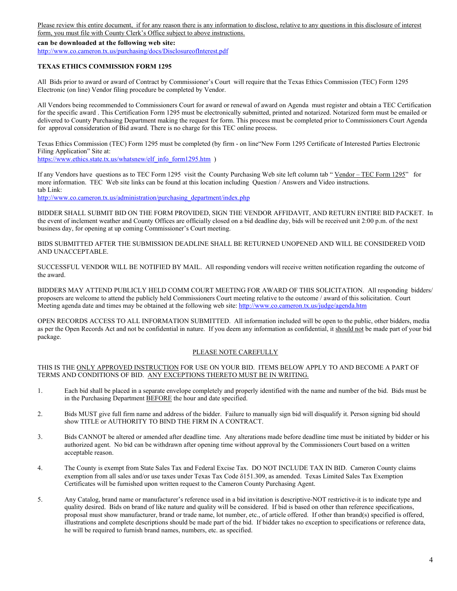Please review this entire document, if for any reason there is any information to disclose, relative to any questions in this disclosure of interest form, you must file with County Clerk's Office subject to above instructions.

**can be downloaded at the following web site:**

<http://www.co.cameron.tx.us/purchasing/docs/DisclosureofInterest.pdf>

### **TEXAS ETHICS COMMISSION FORM 1295**

All Bids prior to award or award of Contract by Commissioner's Court will require that the Texas Ethics Commission (TEC) Form 1295 Electronic (on line) Vendor filing procedure be completed by Vendor.

All Vendors being recommended to Commissioners Court for award or renewal of award on Agenda must register and obtain a TEC Certification for the specific award . This Certification Form 1295 must be electronically submitted, printed and notarized. Notarized form must be emailed or delivered to County Purchasing Department making the request for form. This process must be completed prior to Commissioners Court Agenda for approval consideration of Bid award. There is no charge for this TEC online process.

Texas Ethics Commission (TEC) Form 1295 must be completed (by firm - on line"New Form 1295 Certificate of Interested Parties Electronic Filing Application" Site at:

[https://www.ethics.state.tx.us/whatsnew/elf\\_info\\_form1295.htm](https://www.ethics.state.tx.us/whatsnew/elf_info_form1295.htm) )

If any Vendors have questions as to TEC Form 1295 visit the County Purchasing Web site left column tab "Vendor – TEC Form 1295" for more information. TEC Web site links can be found at this location including Question / Answers and Video instructions. tab Link:

[http://www.co.cameron.tx.us/administration/purchasing\\_department/index.php](http://www.co.cameron.tx.us/administration/purchasing_department/index.php)

BIDDER SHALL SUBMIT BID ON THE FORM PROVIDED, SIGN THE VENDOR AFFIDAVIT, AND RETURN ENTIRE BID PACKET. In the event of inclement weather and County Offices are officially closed on a bid deadline day, bids will be received unit 2:00 p.m. of the next business day, for opening at up coming Commissioner's Court meeting.

BIDS SUBMITTED AFTER THE SUBMISSION DEADLINE SHALL BE RETURNED UNOPENED AND WILL BE CONSIDERED VOID AND UNACCEPTABLE.

SUCCESSFUL VENDOR WILL BE NOTIFIED BY MAIL. All responding vendors will receive written notification regarding the outcome of the award.

BIDDERS MAY ATTEND PUBLICLY HELD COMM COURT MEETING FOR AWARD OF THIS SOLICITATION. All responding bidders/ proposers are welcome to attend the publicly held Commissioners Court meeting relative to the outcome / award of this solicitation. Court Meeting agenda date and times may be obtained at the following web site:<http://www.co.cameron.tx.us/judge/agenda.htm>

OPEN RECORDS ACCESS TO ALL INFORMATION SUBMITTED. All information included will be open to the public, other bidders, media as per the Open Records Act and not be confidential in nature. If you deem any information as confidential, it should not be made part of your bid package.

## PLEASE NOTE CAREFULLY

THIS IS THE ONLY APPROVED INSTRUCTION FOR USE ON YOUR BID. ITEMS BELOW APPLY TO AND BECOME A PART OF TERMS AND CONDITIONS OF BID. ANY EXCEPTIONS THERETO MUST BE IN WRITING.

- 1. Each bid shall be placed in a separate envelope completely and properly identified with the name and number of the bid. Bids must be in the Purchasing Department BEFORE the hour and date specified.
- 2. Bids MUST give full firm name and address of the bidder. Failure to manually sign bid will disqualify it. Person signing bid should show TITLE or AUTHORITY TO BIND THE FIRM IN A CONTRACT.
- 3. Bids CANNOT be altered or amended after deadline time. Any alterations made before deadline time must be initiated by bidder or his authorized agent. No bid can be withdrawn after opening time without approval by the Commissioners Court based on a written acceptable reason.
- 4. The County is exempt from State Sales Tax and Federal Excise Tax. DO NOT INCLUDE TAX IN BID. Cameron County claims exemption from all sales and/or use taxes under Texas Tax Code δ151.309, as amended. Texas Limited Sales Tax Exemption Certificates will be furnished upon written request to the Cameron County Purchasing Agent.
- 5. Any Catalog, brand name or manufacturer's reference used in a bid invitation is descriptive-NOT restrictive-it is to indicate type and quality desired. Bids on brand of like nature and quality will be considered. If bid is based on other than reference specifications, proposal must show manufacturer, brand or trade name, lot number, etc., of article offered. If other than brand(s) specified is offered, illustrations and complete descriptions should be made part of the bid. If bidder takes no exception to specifications or reference data, he will be required to furnish brand names, numbers, etc. as specified.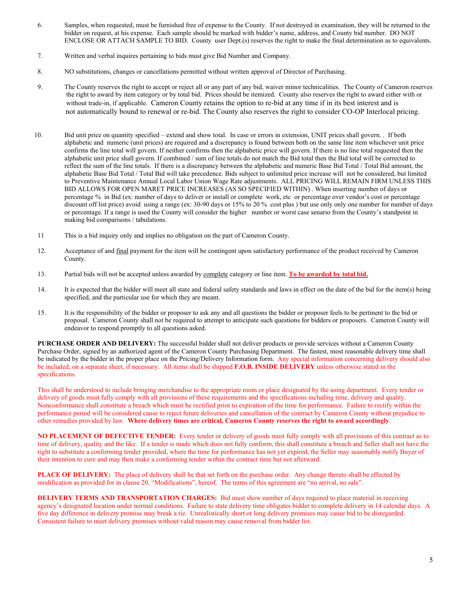- 6. Samples, when requested, must be furnished free of expense to the County. If not destroyed in examination, they will be returned to the bidder on request, at his expense. Each sample should be marked with bidder's name, address, and County bid number. DO NOT ENCLOSE OR ATTACH SAMPLE TO BID. County user Dept.(s) reserves the right to make the final determination as to equivalents.
- 7. Written and verbal inquires pertaining to bids must give Bid Number and Company.
- 8. NO substitutions, changes or cancellations permitted without written approval of Director of Purchasing.
- 9. The County reserves the right to accept or reject all or any part of any bid, waiver minor technicalities. The County of Cameron reserves the right to award by item category or by total bid. Prices should be itemized. County also reserves the right to award either with or without trade-in, if applicable. Cameron County retains the option to re-bid at any time if in its best interest and is not automatically bound to renewal or re-bid. The County also reserves the right to consider CO-OP Interlocal pricing.
- 10. Bid unit price on quantity specified extend and show total. In case or errors in extension, UNIT prices shall govern. . If both alphabetic and numeric (unit prices) are required and a discrepancy is found between both on the same line item whichever unit price confirms the line total will govern. If neither confirms then the alphabetic price will govern. If there is no line total requested then the alphabetic unit price shall govern. If combined / sum of line totals do not match the Bid total then the Bid total will be corrected to reflect the sum of the line totals. If there is a discrepancy between the alphabetic and numeric Base Bid Total / Total Bid amount, the alphabetic Base Bid Total / Total Bid will take precedence. Bids subject to unlimited price increase will not be considered, but limited to Preventive Maintenance Annual Local Labor Union Wage Rate adjustments. ALL PRICING WILL REMAIN FIRM UNLESS THIS BID ALLOWS FOR OPEN MARET PRICE INCREASES (AS SO SPECIFIED WITHIN) . When inserting number of days or percentage % in Bid (ex: number of days to deliver or install or complete work, etc or percentage over vendor's cost or percentage discount off list price) avoid using a range (ex: 30-90 days or 15% to 20 % cost plus ) but use only only one number for number of days or percentage. If a range is used the County will consider the higher number or worst case senario from the County's standpoint in making bid comparisons / tabulations.
- 11 This is a bid inquiry only and implies no obligation on the part of Cameron County.
- 12. Acceptance of and final payment for the item will be contingent upon satisfactory performance of the product received by Cameron County.
- 13. Partial bids will not be accepted unless awarded by complete category or line item. **To be awarded by total bid.**
- 14. It is expected that the bidder will meet all state and federal safety standards and laws in effect on the date of the bid for the item(s) being specified, and the particular use for which they are meant.
- 15. It is the responsibility of the bidder or proposer to ask any and all questions the bidder or proposer feels to be pertinent to the bid or proposal. Cameron County shall not be required to attempt to anticipate such questions for bidders or proposers. Cameron County will endeavor to respond promptly to all questions asked.

**PURCHASE ORDER AND DELIVERY:** The successful bidder shall not deliver products or provide services without a Cameron County Purchase Order, signed by an authorized agent of the Cameron County Purchasing Department. The fastest, most reasonable delivery time shall be indicated by the bidder in the proper place on the Pricing/Delivery Information form. Any special information concerning delivery should also be included, on a separate sheet, if necessary. All items shall be shipped **F.O.B. INSIDE DELIVERY** unless otherwise stated in the specifications.

This shall be understood to include bringing merchandise to the appropriate room or place designated by the using department. Every tender or delivery of goods must fully comply with all provisions of these requirements and the specifications including time, delivery and quality. Nonconformance shall constitute a breach which must be rectified prior to expiration of the time for performance. Failure to rectify within the performance period will be considered cause to reject future deliveries and cancellation of the contract by Cameron County without prejudice to other remedies provided by law. **Where delivery times are critical, Cameron County reserves the right to award accordingly**.

**NO PLACEMENT OF DEFECTIVE TENDER:** Every tender or delivery of goods must fully comply with all provisions of this contract as to time of delivery, quality and the like. If a tender is made which does not fully conform, this shall constitute a breach and Seller shall not have the right to substitute a conforming tender provided, where the time for performance has not yet expired, the Seller may seasonably notify Buyer of their intention to cure and may then make a conforming tender within the contract time but not afterward.

**PLACE OF DELIVERY:** The place of delivery shall be that set forth on the purchase order. Any change thereto shall be effected by modification as provided for in clause 20, "Modifications", hereof. The terms of this agreement are "no arrival, no sale".

**DELIVERY TERMS AND TRANSPORTATION CHARGES:** Bid must show number of days required to place material in receiving agency's designated location under normal conditions. Failure to state delivery time obligates bidder to complete delivery in 14 calendar days. A five day difference in delivery promise may break a tie. Unrealistically short or long delivery promises may cause bid to be disregarded. Consistent failure to meet delivery promises without valid reason may cause removal from bidder list.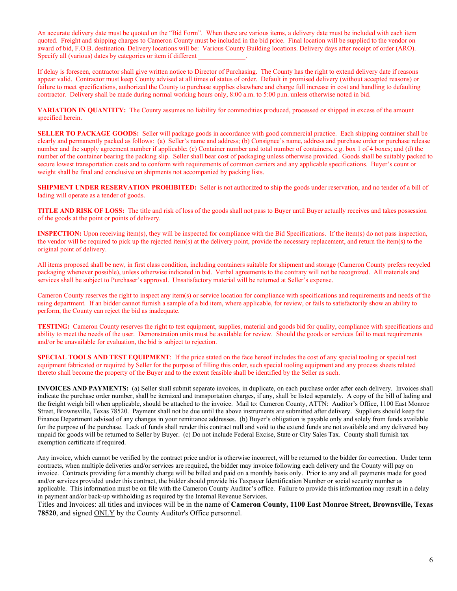An accurate delivery date must be quoted on the "Bid Form". When there are various items, a delivery date must be included with each item quoted. Freight and shipping charges to Cameron County must be included in the bid price. Final location will be supplied to the vendor on award of bid, F.O.B. destination. Delivery locations will be: Various County Building locations. Delivery days after receipt of order (ARO). Specify all (various) dates by categories or item if different

If delay is foreseen, contractor shall give written notice to Director of Purchasing. The County has the right to extend delivery date if reasons appear valid. Contractor must keep County advised at all times of status of order. Default in promised delivery (without accepted reasons) or failure to meet specifications, authorized the County to purchase supplies elsewhere and charge full increase in cost and handling to defaulting contractor. Delivery shall be made during normal working hours only, 8:00 a.m. to 5:00 p.m. unless otherwise noted in bid.

**VARIATION IN QUANTITY:** The County assumes no liability for commodities produced, processed or shipped in excess of the amount specified herein.

**SELLER TO PACKAGE GOODS:** Seller will package goods in accordance with good commercial practice. Each shipping container shall be clearly and permanently packed as follows: (a) Seller's name and address; (b) Consignee's name, address and purchase order or purchase release number and the supply agreement number if applicable; (c) Container number and total number of containers, e.g. box 1 of 4 boxes; and (d) the number of the container bearing the packing slip. Seller shall bear cost of packaging unless otherwise provided. Goods shall be suitably packed to secure lowest transportation costs and to conform with requirements of common carriers and any applicable specifications. Buyer's count or weight shall be final and conclusive on shipments not accompanied by packing lists.

**SHIPMENT UNDER RESERVATION PROHIBITED:** Seller is not authorized to ship the goods under reservation, and no tender of a bill of lading will operate as a tender of goods.

**TITLE AND RISK OF LOSS:** The title and risk of loss of the goods shall not pass to Buyer until Buyer actually receives and takes possession of the goods at the point or points of delivery.

**INSPECTION:** Upon receiving item(s), they will be inspected for compliance with the Bid Specifications. If the item(s) do not pass inspection, the vendor will be required to pick up the rejected item(s) at the delivery point, provide the necessary replacement, and return the item(s) to the original point of delivery.

All items proposed shall be new, in first class condition, including containers suitable for shipment and storage (Cameron County prefers recycled packaging whenever possible), unless otherwise indicated in bid. Verbal agreements to the contrary will not be recognized. All materials and services shall be subject to Purchaser's approval. Unsatisfactory material will be returned at Seller's expense.

Cameron County reserves the right to inspect any item(s) or service location for compliance with specifications and requirements and needs of the using department. If an bidder cannot furnish a sample of a bid item, where applicable, for review, or fails to satisfactorily show an ability to perform, the County can reject the bid as inadequate.

**TESTING:** Cameron County reserves the right to test equipment, supplies, material and goods bid for quality, compliance with specifications and ability to meet the needs of the user. Demonstration units must be available for review. Should the goods or services fail to meet requirements and/or be unavailable for evaluation, the bid is subject to rejection.

**SPECIAL TOOLS AND TEST EQUIPMENT**: If the price stated on the face hereof includes the cost of any special tooling or special test equipment fabricated or required by Seller for the purpose of filling this order, such special tooling equipment and any process sheets related thereto shall become the property of the Buyer and to the extent feasible shall be identified by the Seller as such.

**INVOICES AND PAYMENTS:** (a) Seller shall submit separate invoices, in duplicate, on each purchase order after each delivery. Invoices shall indicate the purchase order number, shall be itemized and transportation charges, if any, shall be listed separately. A copy of the bill of lading and the freight weigh bill when applicable, should be attached to the invoice. Mail to: Cameron County, ATTN: Auditor's Office, 1100 East Monroe Street, Brownsville, Texas 78520. Payment shall not be due until the above instruments are submitted after delivery. Suppliers should keep the Finance Department advised of any changes in your remittance addresses. (b) Buyer's obligation is payable only and solely from funds available for the purpose of the purchase. Lack of funds shall render this contract null and void to the extend funds are not available and any delivered buy unpaid for goods will be returned to Seller by Buyer. (c) Do not include Federal Excise, State or City Sales Tax. County shall furnish tax exemption certificate if required.

Any invoice, which cannot be verified by the contract price and/or is otherwise incorrect, will be returned to the bidder for correction. Under term contracts, when multiple deliveries and/or services are required, the bidder may invoice following each delivery and the County will pay on invoice. Contracts providing for a monthly charge will be billed and paid on a monthly basis only. Prior to any and all payments made for good and/or services provided under this contract, the bidder should provide his Taxpayer Identification Number or social security number as applicable. This information must be on file with the Cameron County Auditor's office. Failure to provide this information may result in a delay in payment and/or back-up withholding as required by the Internal Revenue Services.

Titles and Invoices: all titles and invioces will be in the name of **Cameron County, 1100 East Monroe Street, Brownsville, Texas 78520**, and signed ONLY by the County Auditor's Office personnel.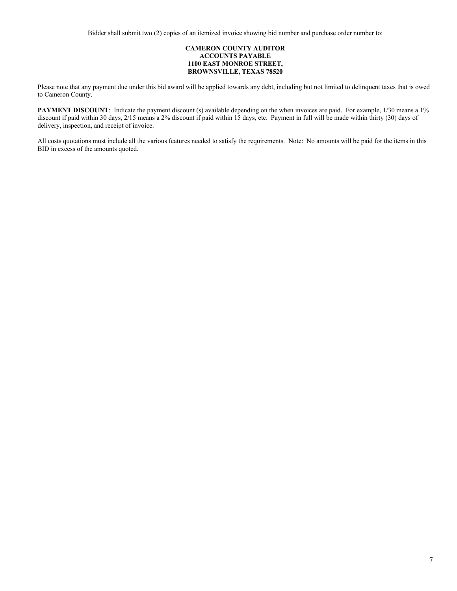#### **CAMERON COUNTY AUDITOR ACCOUNTS PAYABLE 1100 EAST MONROE STREET, BROWNSVILLE, TEXAS 78520**

Please note that any payment due under this bid award will be applied towards any debt, including but not limited to delinquent taxes that is owed to Cameron County.

**PAYMENT DISCOUNT**: Indicate the payment discount (s) available depending on the when invoices are paid. For example, 1/30 means a 1% discount if paid within 30 days, 2/15 means a 2% discount if paid within 15 days, etc. Payment in full will be made within thirty (30) days of delivery, inspection, and receipt of invoice.

All costs quotations must include all the various features needed to satisfy the requirements. Note: No amounts will be paid for the items in this BID in excess of the amounts quoted.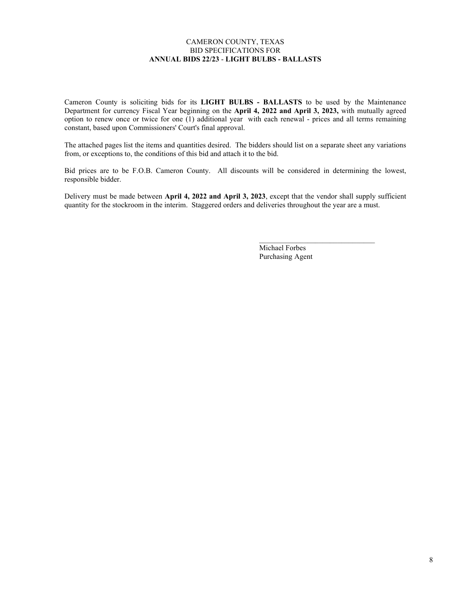### CAMERON COUNTY, TEXAS BID SPECIFICATIONS FOR **ANNUAL BIDS 22/23** - **LIGHT BULBS - BALLASTS**

Cameron County is soliciting bids for its **LIGHT BULBS - BALLASTS** to be used by the Maintenance Department for currency Fiscal Year beginning on the **April 4, 2022 and April 3, 2023,** with mutually agreed option to renew once or twice for one (1) additional year with each renewal - prices and all terms remaining constant, based upon Commissioners' Court's final approval.

The attached pages list the items and quantities desired. The bidders should list on a separate sheet any variations from, or exceptions to, the conditions of this bid and attach it to the bid.

Bid prices are to be F.O.B. Cameron County. All discounts will be considered in determining the lowest, responsible bidder.

Delivery must be made between **April 4, 2022 and April 3, 2023**, except that the vendor shall supply sufficient quantity for the stockroom in the interim. Staggered orders and deliveries throughout the year are a must.

> Michael Forbes Purchasing Agent

 $\mathcal{L}_\text{max} = \mathcal{L}_\text{max} = \mathcal{L}_\text{max} = \mathcal{L}_\text{max} = \mathcal{L}_\text{max} = \mathcal{L}_\text{max}$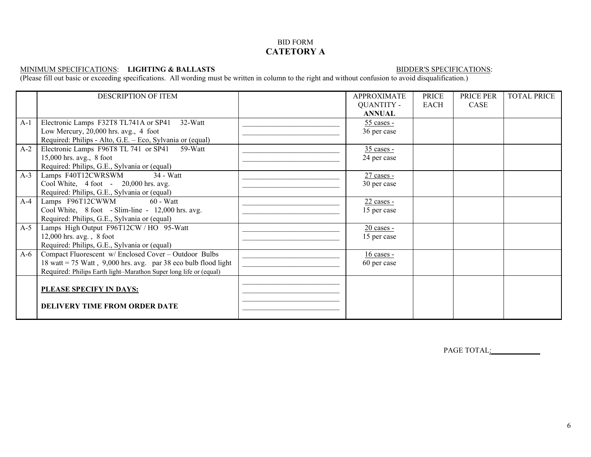## BID FORM **CATETORY A**

#### MINIMUM SPECIFICATIONS: **LIGHTING & BALLASTS** BIDDER'S SPECIFICATIONS:

(Please fill out basic or exceeding specifications. All wording must be written in column to the right and without confusion to avoid disqualification.)

|       | <b>DESCRIPTION OF ITEM</b>                                        | <b>APPROXIMATE</b> | <b>PRICE</b> | PRICE PER | <b>TOTAL PRICE</b> |
|-------|-------------------------------------------------------------------|--------------------|--------------|-----------|--------------------|
|       |                                                                   | <b>QUANTITY -</b>  | <b>EACH</b>  | CASE      |                    |
|       |                                                                   | <b>ANNUAL</b>      |              |           |                    |
| $A-1$ | Electronic Lamps F32T8 TL741A or SP41<br>32-Watt                  | $55$ cases -       |              |           |                    |
|       | Low Mercury, 20,000 hrs. avg., 4 foot                             | 36 per case        |              |           |                    |
|       | Required: Philips - Alto, G.E. - Eco, Sylvania or (equal)         |                    |              |           |                    |
| $A-2$ | Electronic Lamps F96T8 TL 741 or SP41<br>59-Watt                  | $35$ cases -       |              |           |                    |
|       | $15,000$ hrs. avg., 8 foot                                        | 24 per case        |              |           |                    |
|       | Required: Philips, G.E., Sylvania or (equal)                      |                    |              |           |                    |
| $A-3$ | Lamps F40T12CWRSWM<br>34 - Watt                                   | $27$ cases -       |              |           |                    |
|       | Cool White, 4 foot - 20,000 hrs. avg.                             | 30 per case        |              |           |                    |
|       | Required: Philips, G.E., Sylvania or (equal)                      |                    |              |           |                    |
| $A-4$ | Lamps F96T12CWWM<br>$60 - Watt$                                   | $22$ cases -       |              |           |                    |
|       | Cool White, 8 foot - Slim-line - 12,000 hrs. avg.                 | 15 per case        |              |           |                    |
|       | Required: Philips, G.E., Sylvania or (equal)                      |                    |              |           |                    |
| $A-5$ | Lamps High Output F96T12CW / HO 95-Watt                           | 20 cases -         |              |           |                    |
|       | $12,000$ hrs. avg., $8$ foot                                      | 15 per case        |              |           |                    |
|       | Required: Philips, G.E., Sylvania or (equal)                      |                    |              |           |                    |
| $A-6$ | Compact Fluorescent w/ Enclosed Cover - Outdoor Bulbs             | $16$ cases -       |              |           |                    |
|       | 18 watt = 75 Watt, $9,000$ hrs. avg. par 38 eco bulb flood light  | 60 per case        |              |           |                    |
|       | Required: Philips Earth light-Marathon Super long life or (equal) |                    |              |           |                    |
|       |                                                                   |                    |              |           |                    |
|       | PLEASE SPECIFY IN DAYS:                                           |                    |              |           |                    |
|       |                                                                   |                    |              |           |                    |
|       | <b>DELIVERY TIME FROM ORDER DATE</b>                              |                    |              |           |                    |
|       |                                                                   |                    |              |           |                    |

PAGE TOTAL: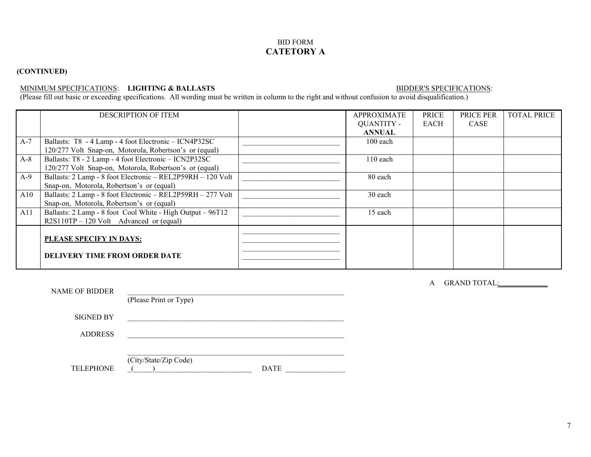## BID FORM **CATETORY A**

## **(CONTINUED)**

### MINIMUM SPECIFICATIONS: **LIGHTING & BALLASTS** BIDDER'S SPECIFICATIONS:

(Please fill out basic or exceeding specifications. All wording must be written in column to the right and without confusion to avoid disqualification.)

|       | <b>DESCRIPTION OF ITEM</b>                                  | <b>APPROXIMATE</b> | PRICE | PRICE PER | <b>TOTAL PRICE</b> |
|-------|-------------------------------------------------------------|--------------------|-------|-----------|--------------------|
|       |                                                             | <b>QUANTITY -</b>  | EACH  | CASE      |                    |
|       |                                                             | <b>ANNUAL</b>      |       |           |                    |
| $A-7$ | Ballasts: T8 - 4 Lamp - 4 foot Electronic - ICN4P32SC       | $100$ each         |       |           |                    |
|       | 120/277 Volt Snap-on, Motorola, Robertson's or (equal)      |                    |       |           |                    |
| $A-8$ | Ballasts: T8 - 2 Lamp - 4 foot Electronic - ICN2P32SC       | $110$ each         |       |           |                    |
|       | 120/277 Volt Snap-on, Motorola, Robertson's or (equal)      |                    |       |           |                    |
| $A-9$ | Ballasts: 2 Lamp - 8 foot Electronic - REL2P59RH - 120 Volt | 80 each            |       |           |                    |
|       | Snap-on, Motorola, Robertson's or (equal)                   |                    |       |           |                    |
| A10   | Ballasts: 2 Lamp - 8 foot Electronic - REL2P59RH - 277 Volt | 30 each            |       |           |                    |
|       | Snap-on, Motorola, Robertson's or (equal)                   |                    |       |           |                    |
| A11   | Ballasts: 2 Lamp - 8 foot Cool White - High Output - 96T12  | 15 each            |       |           |                    |
|       | $R2S110TP - 120$ Volt Advanced or (equal)                   |                    |       |           |                    |
|       |                                                             |                    |       |           |                    |
|       | PLEASE SPECIFY IN DAYS:                                     |                    |       |           |                    |
|       |                                                             |                    |       |           |                    |
|       | <b>DELIVERY TIME FROM ORDER DATE</b>                        |                    |       |           |                    |
|       |                                                             |                    |       |           |                    |

| NAME OF BIDDER   | (Please Print or Type)               |
|------------------|--------------------------------------|
| <b>SIGNED BY</b> |                                      |
| <b>ADDRESS</b>   |                                      |
| <b>TELEPHONE</b> | (City/State/Zip Code)<br><b>DATE</b> |

A GRAND TOTAL:\_\_\_\_\_\_\_\_\_\_\_\_\_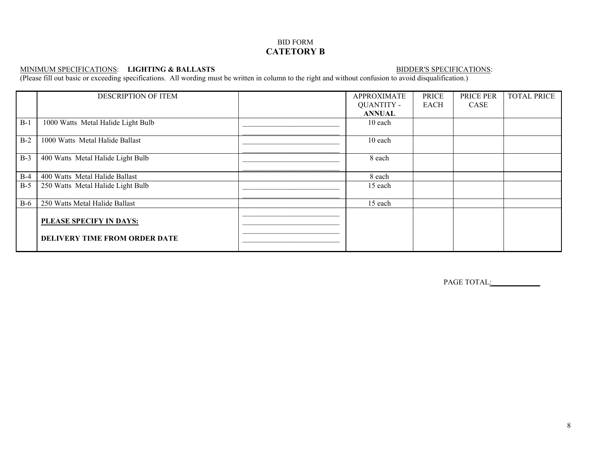## BID FORM **CATETORY B**

#### MINIMUM SPECIFICATIONS: **LIGHTING & BALLASTS** BIDDER'S SPECIFICATIONS:

(Please fill out basic or exceeding specifications. All wording must be written in column to the right and without confusion to avoid disqualification.)

|       | DESCRIPTION OF ITEM                                             | <b>APPROXIMATE</b> | <b>PRICE</b> | PRICE PER | <b>TOTAL PRICE</b> |
|-------|-----------------------------------------------------------------|--------------------|--------------|-----------|--------------------|
|       |                                                                 | <b>QUANTITY -</b>  | EACH         | CASE      |                    |
|       |                                                                 | <b>ANNUAL</b>      |              |           |                    |
| $B-1$ | 1000 Watts Metal Halide Light Bulb                              | 10 each            |              |           |                    |
|       |                                                                 |                    |              |           |                    |
| $B-2$ | 1000 Watts Metal Halide Ballast                                 | 10 each            |              |           |                    |
| $B-3$ | 400 Watts Metal Halide Light Bulb                               | 8 each             |              |           |                    |
| $B-4$ | 400 Watts Metal Halide Ballast                                  | 8 each             |              |           |                    |
| $B-5$ | 250 Watts Metal Halide Light Bulb                               | 15 each            |              |           |                    |
| $B-6$ | 250 Watts Metal Halide Ballast                                  | 15 each            |              |           |                    |
|       | PLEASE SPECIFY IN DAYS:<br><b>DELIVERY TIME FROM ORDER DATE</b> |                    |              |           |                    |

PAGE TOTAL: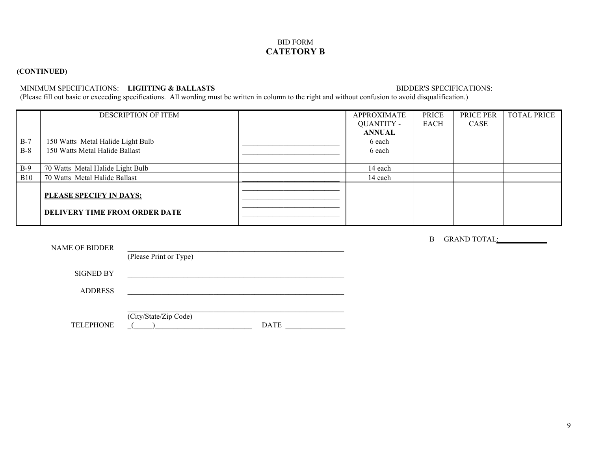## BID FORM **CATETORY B**

# **(CONTINUED)**

# MINIMUM SPECIFICATIONS: LIGHTING & BALLASTS BIDDER'S SPECIFICATIONS:

(Please fill out basic or exceeding specifications. All wording must be written in column to the right and without confusion to avoid disqualification.)

|            | <b>DESCRIPTION OF ITEM</b>                                      | <b>APPROXIMATE</b> | PRICE | PRICE PER | <b>TOTAL PRICE</b> |
|------------|-----------------------------------------------------------------|--------------------|-------|-----------|--------------------|
|            |                                                                 | QUANTITY -         | EACH  | CASE      |                    |
|            |                                                                 | <b>ANNUAL</b>      |       |           |                    |
| $B-7$      | 150 Watts Metal Halide Light Bulb                               | 6 each             |       |           |                    |
| $B-8$      | 150 Watts Metal Halide Ballast                                  | 6 each             |       |           |                    |
|            |                                                                 |                    |       |           |                    |
| $B-9$      | 70 Watts Metal Halide Light Bulb                                | 14 each            |       |           |                    |
| <b>B10</b> | 70 Watts Metal Halide Ballast                                   | 14 each            |       |           |                    |
|            | PLEASE SPECIFY IN DAYS:<br><b>DELIVERY TIME FROM ORDER DATE</b> |                    |       |           |                    |

|                       |                        | B GRAND TOTAL: |
|-----------------------|------------------------|----------------|
| <b>NAME OF BIDDER</b> | (Please Print or Type) |                |
| <b>SIGNED BY</b>      |                        |                |
| <b>ADDRESS</b>        |                        |                |
|                       |                        |                |
|                       | (City/State/Zip Code)  |                |
| <b>TELEPHONE</b>      | <b>DATE</b>            |                |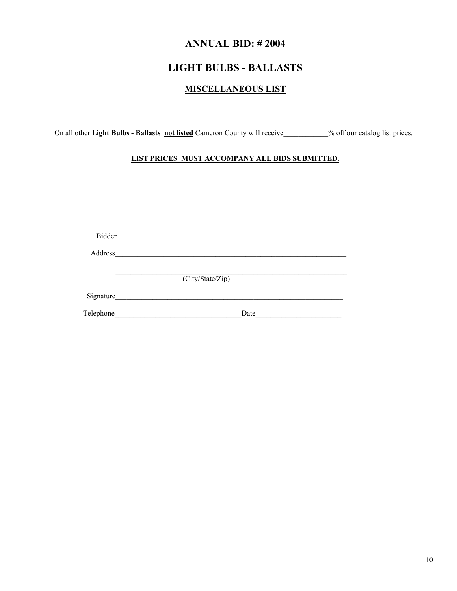# **ANNUAL BID: # 2004**

# **LIGHT BULBS - BALLASTS**

# **MISCELLANEOUS LIST**

On all other **Light Bulbs - Ballasts not listed** Cameron County will receive\_\_\_\_\_\_\_\_\_\_\_\_% off our catalog list prices.

## **LIST PRICES MUST ACCOMPANY ALL BIDS SUBMITTED.**

| Bidder    |                  |  |
|-----------|------------------|--|
| Address   |                  |  |
|           | (City/State/Zip) |  |
| Signature |                  |  |
| Telephone | Date             |  |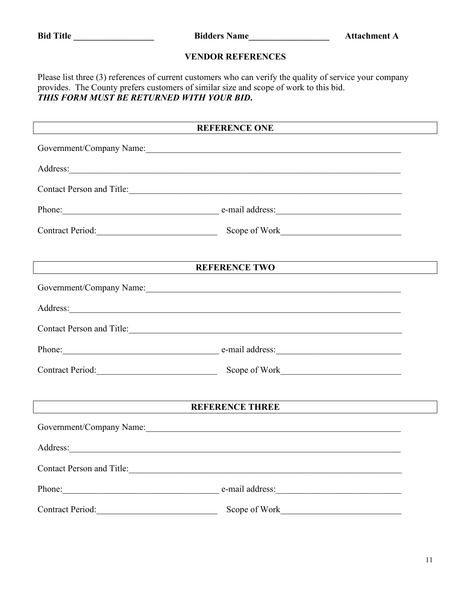| <b>Bid</b> | Title |  |
|------------|-------|--|
|            |       |  |

**Bid Title \_\_\_\_\_\_\_\_\_\_\_\_\_\_\_\_\_\_ Bidders Name\_\_\_\_\_\_\_\_\_\_\_\_\_\_\_\_\_\_ Attachment A**

# **VENDOR REFERENCES**

Please list three (3) references of current customers who can verify the quality of service your company provides. The County prefers customers of similar size and scope of work to this bid. *THIS FORM MUST BE RETURNED WITH YOUR BID***.**

|                  | <b>REFERENCE ONE</b>                                                                                                                                                                                                                 |  |
|------------------|--------------------------------------------------------------------------------------------------------------------------------------------------------------------------------------------------------------------------------------|--|
|                  | Government/Company Name:                                                                                                                                                                                                             |  |
|                  |                                                                                                                                                                                                                                      |  |
|                  | Contact Person and Title: Note that the contract of the contract of the contract of the contract of the contract of the contract of the contract of the contract of the contract of the contract of the contract of the contra       |  |
|                  | Phone: e-mail address: e-mail address:                                                                                                                                                                                               |  |
|                  | Contract Period: Scope of Work Contract Period:                                                                                                                                                                                      |  |
|                  |                                                                                                                                                                                                                                      |  |
|                  | <b>REFERENCE TWO</b>                                                                                                                                                                                                                 |  |
|                  |                                                                                                                                                                                                                                      |  |
|                  | Address: <u>and a series of the series of the series of the series of the series of the series of the series of the series of the series of the series of the series of the series of the series of the series of the series of </u> |  |
|                  | Contact Person and Title: 1988 and Title 2008 and Title 2008 and Title 2008 and 2008 and 2008 and 2008 and 2008 and 2008 and 2008 and 2008 and 2008 and 2008 and 2008 and 2008 and 2008 and 2008 and 2008 and 2008 and 2008 an       |  |
|                  | Phone: e-mail address:                                                                                                                                                                                                               |  |
|                  | Contract Period: Scope of Work Contract Period:                                                                                                                                                                                      |  |
|                  |                                                                                                                                                                                                                                      |  |
|                  | <b>REFERENCE THREE</b>                                                                                                                                                                                                               |  |
|                  | Government/Company Name:                                                                                                                                                                                                             |  |
|                  |                                                                                                                                                                                                                                      |  |
|                  | Contact Person and Title:                                                                                                                                                                                                            |  |
| Phone: 2008      |                                                                                                                                                                                                                                      |  |
| Contract Period: | Scope of Work                                                                                                                                                                                                                        |  |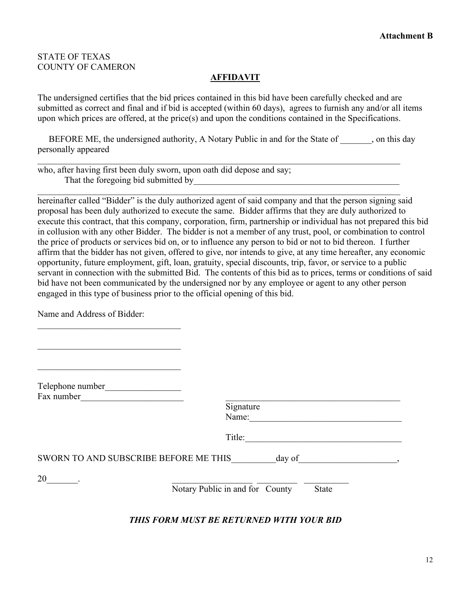# STATE OF TEXAS COUNTY OF CAMERON

# **AFFIDAVIT**

The undersigned certifies that the bid prices contained in this bid have been carefully checked and are submitted as correct and final and if bid is accepted (within 60 days), agrees to furnish any and/or all items upon which prices are offered, at the price(s) and upon the conditions contained in the Specifications.

BEFORE ME, the undersigned authority, A Notary Public in and for the State of , on this day personally appeared

\_\_\_\_\_\_\_\_\_\_\_\_\_\_\_\_\_\_\_\_\_\_\_\_\_\_\_\_\_\_\_\_\_\_\_\_\_\_\_\_\_\_\_\_\_\_\_\_\_\_\_\_\_\_\_\_\_\_\_\_\_\_\_\_\_\_\_\_\_\_\_\_\_\_\_\_\_\_\_\_\_

\_\_\_\_\_\_\_\_\_\_\_\_\_\_\_\_\_\_\_\_\_\_\_\_\_\_\_\_\_\_\_\_\_\_\_\_\_\_\_\_\_\_\_\_\_\_\_\_\_\_\_\_\_\_\_\_\_\_\_\_\_\_\_\_\_\_\_\_\_\_\_\_\_\_\_\_\_\_\_\_\_

who, after having first been duly sworn, upon oath did depose and say; That the foregoing bid submitted by

hereinafter called "Bidder" is the duly authorized agent of said company and that the person signing said proposal has been duly authorized to execute the same. Bidder affirms that they are duly authorized to execute this contract, that this company, corporation, firm, partnership or individual has not prepared this bid in collusion with any other Bidder. The bidder is not a member of any trust, pool, or combination to control the price of products or services bid on, or to influence any person to bid or not to bid thereon. I further affirm that the bidder has not given, offered to give, nor intends to give, at any time hereafter, any economic opportunity, future employment, gift, loan, gratuity, special discounts, trip, favor, or service to a public servant in connection with the submitted Bid. The contents of this bid as to prices, terms or conditions of said bid have not been communicated by the undersigned nor by any employee or agent to any other person engaged in this type of business prior to the official opening of this bid.

Name and Address of Bidder:

| Telephone number<br>Fax number        |                                                 |
|---------------------------------------|-------------------------------------------------|
|                                       | Signature<br>Name:                              |
|                                       | Title:                                          |
| SWORN TO AND SUBSCRIBE BEFORE ME THIS | day of                                          |
| 20                                    | Notary Public in and for County<br><b>State</b> |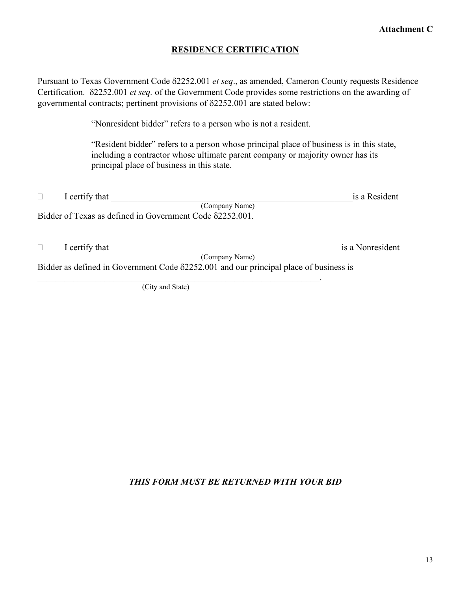# **RESIDENCE CERTIFICATION**

Pursuant to Texas Government Code δ2252.001 *et seq*., as amended, Cameron County requests Residence Certification. δ2252.001 *et seq.* of the Government Code provides some restrictions on the awarding of governmental contracts; pertinent provisions of δ2252.001 are stated below:

"Nonresident bidder" refers to a person who is not a resident.

"Resident bidder" refers to a person whose principal place of business is in this state, including a contractor whose ultimate parent company or majority owner has its principal place of business in this state.

|                                                                                               | I certify that                                           | is a Resident    |  |
|-----------------------------------------------------------------------------------------------|----------------------------------------------------------|------------------|--|
|                                                                                               | (Company Name)                                           |                  |  |
|                                                                                               | Bidder of Texas as defined in Government Code 82252.001. |                  |  |
|                                                                                               |                                                          |                  |  |
|                                                                                               |                                                          |                  |  |
|                                                                                               | I certify that                                           | is a Nonresident |  |
|                                                                                               | (Company Name)                                           |                  |  |
| Bidder as defined in Government Code $\delta$ 2252.001 and our principal place of business is |                                                          |                  |  |
|                                                                                               |                                                          |                  |  |
|                                                                                               | (City and State)                                         |                  |  |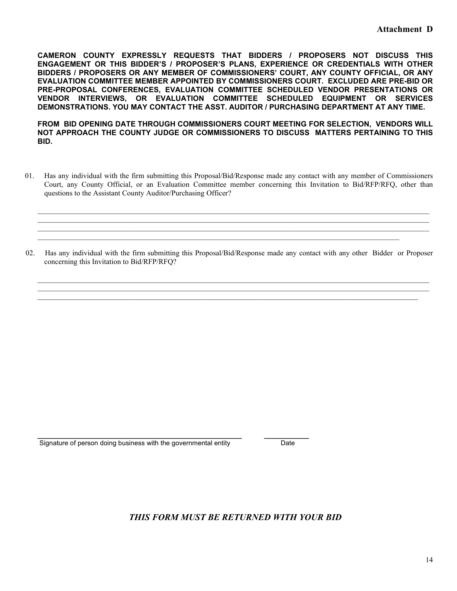**CAMERON COUNTY EXPRESSLY REQUESTS THAT BIDDERS / PROPOSERS NOT DISCUSS THIS ENGAGEMENT OR THIS BIDDER'S / PROPOSER'S PLANS, EXPERIENCE OR CREDENTIALS WITH OTHER BIDDERS / PROPOSERS OR ANY MEMBER OF COMMISSIONERS' COURT, ANY COUNTY OFFICIAL, OR ANY EVALUATION COMMITTEE MEMBER APPOINTED BY COMMISSIONERS COURT. EXCLUDED ARE PRE-BID OR PRE-PROPOSAL CONFERENCES, EVALUATION COMMITTEE SCHEDULED VENDOR PRESENTATIONS OR VENDOR INTERVIEWS, OR EVALUATION COMMITTEE SCHEDULED EQUIPMENT OR SERVICES DEMONSTRATIONS. YOU MAY CONTACT THE ASST. AUDITOR / PURCHASING DEPARTMENT AT ANY TIME.**

**FROM BID OPENING DATE THROUGH COMMISSIONERS COURT MEETING FOR SELECTION, VENDORS WILL NOT APPROACH THE COUNTY JUDGE OR COMMISSIONERS TO DISCUSS MATTERS PERTAINING TO THIS BID.**

 01. Has any individual with the firm submitting this Proposal/Bid/Response made any contact with any member of Commissioners Court, any County Official, or an Evaluation Committee member concerning this Invitation to Bid/RFP/RFQ, other than questions to the Assistant County Auditor/Purchasing Officer?

 $\mathcal{L}_\mathcal{L} = \mathcal{L}_\mathcal{L} = \mathcal{L}_\mathcal{L} = \mathcal{L}_\mathcal{L} = \mathcal{L}_\mathcal{L} = \mathcal{L}_\mathcal{L} = \mathcal{L}_\mathcal{L} = \mathcal{L}_\mathcal{L} = \mathcal{L}_\mathcal{L} = \mathcal{L}_\mathcal{L} = \mathcal{L}_\mathcal{L} = \mathcal{L}_\mathcal{L} = \mathcal{L}_\mathcal{L} = \mathcal{L}_\mathcal{L} = \mathcal{L}_\mathcal{L} = \mathcal{L}_\mathcal{L} = \mathcal{L}_\mathcal{L}$ 

\_\_\_\_\_\_\_\_\_\_\_\_\_\_\_\_\_\_\_\_\_\_\_\_\_\_\_\_\_\_\_\_\_\_\_\_\_\_\_\_\_\_\_\_\_\_\_\_\_\_\_\_\_\_\_\_\_\_\_\_\_\_\_\_\_\_\_\_\_\_\_\_\_\_\_\_\_\_\_\_\_\_\_\_\_\_\_\_\_\_\_\_\_\_\_\_\_\_\_\_\_\_\_\_\_

 02. Has any individual with the firm submitting this Proposal/Bid/Response made any contact with any other Bidder or Proposer concerning this Invitation to Bid/RFP/RFQ?

\_\_\_\_\_\_\_\_\_\_\_\_\_\_\_\_\_\_\_\_\_\_\_\_\_\_\_\_\_\_\_\_\_\_\_\_\_\_\_\_\_\_\_\_\_\_\_\_\_\_\_\_\_\_\_\_\_\_\_\_\_\_\_\_\_\_\_\_\_\_\_\_\_\_\_\_\_\_\_\_\_\_\_\_\_\_\_\_\_\_\_\_\_\_\_\_\_\_\_\_\_\_\_\_\_ \_\_\_\_\_\_\_\_\_\_\_\_\_\_\_\_\_\_\_\_\_\_\_\_\_\_\_\_\_\_\_\_\_\_\_\_\_\_\_\_\_\_\_\_\_\_\_\_\_\_\_\_\_\_\_\_\_\_\_\_\_\_\_\_\_\_\_\_\_\_\_\_\_\_\_\_\_\_\_\_\_\_\_\_\_\_\_\_\_\_\_\_\_\_\_\_\_\_\_\_\_\_\_\_\_  $\mathcal{L}_\mathcal{L} = \mathcal{L}_\mathcal{L} = \mathcal{L}_\mathcal{L} = \mathcal{L}_\mathcal{L} = \mathcal{L}_\mathcal{L} = \mathcal{L}_\mathcal{L} = \mathcal{L}_\mathcal{L} = \mathcal{L}_\mathcal{L} = \mathcal{L}_\mathcal{L} = \mathcal{L}_\mathcal{L} = \mathcal{L}_\mathcal{L} = \mathcal{L}_\mathcal{L} = \mathcal{L}_\mathcal{L} = \mathcal{L}_\mathcal{L} = \mathcal{L}_\mathcal{L} = \mathcal{L}_\mathcal{L} = \mathcal{L}_\mathcal{L}$ 

 $\mathcal{L}_\mathcal{L} = \{ \mathcal{L}_\mathcal{L} = \{ \mathcal{L}_\mathcal{L} = \{ \mathcal{L}_\mathcal{L} = \{ \mathcal{L}_\mathcal{L} = \{ \mathcal{L}_\mathcal{L} = \{ \mathcal{L}_\mathcal{L} = \{ \mathcal{L}_\mathcal{L} = \{ \mathcal{L}_\mathcal{L} = \{ \mathcal{L}_\mathcal{L} = \{ \mathcal{L}_\mathcal{L} = \{ \mathcal{L}_\mathcal{L} = \{ \mathcal{L}_\mathcal{L} = \{ \mathcal{L}_\mathcal{L} = \{ \mathcal{L}_\mathcal{$ 

Signature of person doing business with the governmental entity Date

\_\_\_\_\_\_\_\_\_\_\_\_\_\_\_\_\_\_\_\_\_\_\_\_\_\_\_\_\_\_\_\_\_\_\_\_\_\_\_\_\_ \_\_\_\_\_\_\_\_\_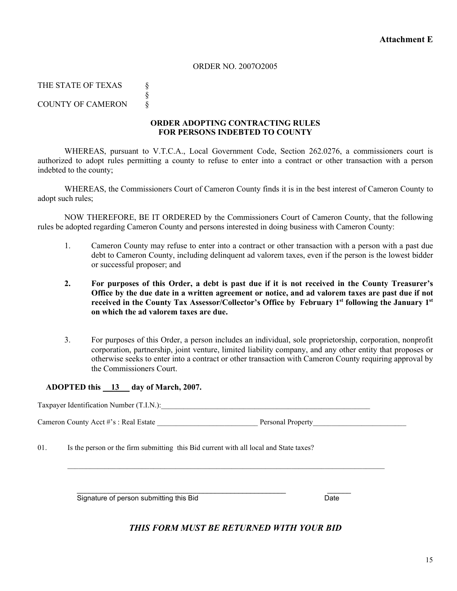## ORDER NO. 2007O2005

THE STATE OF TEXAS §

§

COUNTY OF CAMERON

## **ORDER ADOPTING CONTRACTING RULES FOR PERSONS INDEBTED TO COUNTY**

WHEREAS, pursuant to V.T.C.A., Local Government Code, Section 262.0276, a commissioners court is authorized to adopt rules permitting a county to refuse to enter into a contract or other transaction with a person indebted to the county;

WHEREAS, the Commissioners Court of Cameron County finds it is in the best interest of Cameron County to adopt such rules;

NOW THEREFORE, BE IT ORDERED by the Commissioners Court of Cameron County, that the following rules be adopted regarding Cameron County and persons interested in doing business with Cameron County:

- 1. Cameron County may refuse to enter into a contract or other transaction with a person with a past due debt to Cameron County, including delinquent ad valorem taxes, even if the person is the lowest bidder or successful proposer; and
- **2. For purposes of this Order, a debt is past due if it is not received in the County Treasurer's Office by the due date in a written agreement or notice, and ad valorem taxes are past due if not received in the County Tax Assessor/Collector's Office by February 1st following the January 1st on which the ad valorem taxes are due.**
- 3. For purposes of this Order, a person includes an individual, sole proprietorship, corporation, nonprofit corporation, partnership, joint venture, limited liability company, and any other entity that proposes or otherwise seeks to enter into a contract or other transaction with Cameron County requiring approval by the Commissioners Court.

## **ADOPTED this 13 day of March, 2007.**

Taxpayer Identification Number (T.I.N.):

 $\mathcal{L}_\mathcal{L} = \{ \mathcal{L}_\mathcal{L} = \{ \mathcal{L}_\mathcal{L} = \{ \mathcal{L}_\mathcal{L} = \{ \mathcal{L}_\mathcal{L} = \{ \mathcal{L}_\mathcal{L} = \{ \mathcal{L}_\mathcal{L} = \{ \mathcal{L}_\mathcal{L} = \{ \mathcal{L}_\mathcal{L} = \{ \mathcal{L}_\mathcal{L} = \{ \mathcal{L}_\mathcal{L} = \{ \mathcal{L}_\mathcal{L} = \{ \mathcal{L}_\mathcal{L} = \{ \mathcal{L}_\mathcal{L} = \{ \mathcal{L}_\mathcal{$ 

Cameron County Acct #'s : Real Estate \_\_\_\_\_\_\_\_\_\_\_\_\_\_\_\_\_\_\_\_\_\_\_\_\_\_\_ Personal Property\_\_\_\_\_\_\_\_\_\_\_\_\_\_\_\_\_\_\_\_\_\_\_\_\_

01. Is the person or the firm submitting this Bid current with all local and State taxes?

 $\frac{1}{2}$  ,  $\frac{1}{2}$  ,  $\frac{1}{2}$  ,  $\frac{1}{2}$  ,  $\frac{1}{2}$  ,  $\frac{1}{2}$  ,  $\frac{1}{2}$  ,  $\frac{1}{2}$  ,  $\frac{1}{2}$  ,  $\frac{1}{2}$  ,  $\frac{1}{2}$  ,  $\frac{1}{2}$  ,  $\frac{1}{2}$  ,  $\frac{1}{2}$  ,  $\frac{1}{2}$  ,  $\frac{1}{2}$  ,  $\frac{1}{2}$  ,  $\frac{1}{2}$  ,  $\frac{1$ Signature of person submitting this Bid Date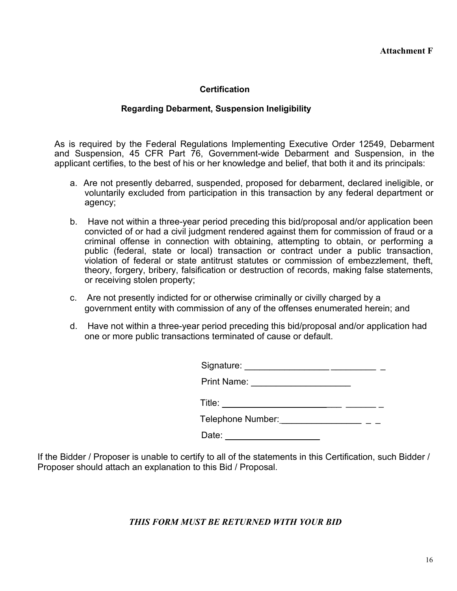# **Certification**

# **Regarding Debarment, Suspension Ineligibility**

As is required by the Federal Regulations Implementing Executive Order 12549, Debarment and Suspension, 45 CFR Part 76, Government-wide Debarment and Suspension, in the applicant certifies, to the best of his or her knowledge and belief, that both it and its principals:

- a. Are not presently debarred, suspended, proposed for debarment, declared ineligible, or voluntarily excluded from participation in this transaction by any federal department or agency;
- b. Have not within a three-year period preceding this bid/proposal and/or application been convicted of or had a civil judgment rendered against them for commission of fraud or a criminal offense in connection with obtaining, attempting to obtain, or performing a public (federal, state or local) transaction or contract under a public transaction, violation of federal or state antitrust statutes or commission of embezzlement, theft, theory, forgery, bribery, falsification or destruction of records, making false statements, or receiving stolen property;
- c. Are not presently indicted for or otherwise criminally or civilly charged by a government entity with commission of any of the offenses enumerated herein; and
- d. Have not within a three-year period preceding this bid/proposal and/or application had one or more public transactions terminated of cause or default.

| Signature:         |  |
|--------------------|--|
| <b>Print Name:</b> |  |
| Title:             |  |
| Telephone Number:  |  |

If the Bidder / Proposer is unable to certify to all of the statements in this Certification, such Bidder / Proposer should attach an explanation to this Bid / Proposal.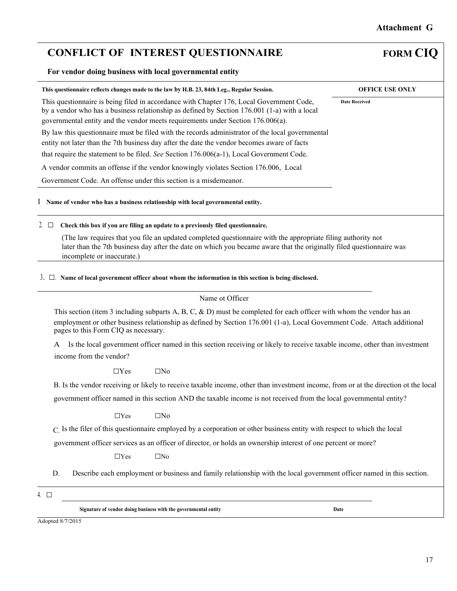# **CONFLICT OF INTEREST QUESTIONNAIRE FORM CIQ**

## **For vendor doing business with local governmental entity**

| This questionnaire reflects changes made to the law by H.B. 23, 84th Leg., Regular Session.                                                                                                                                                                                    | <b>OFFICE USE ONLY</b> |
|--------------------------------------------------------------------------------------------------------------------------------------------------------------------------------------------------------------------------------------------------------------------------------|------------------------|
| This questionnaire is being filed in accordance with Chapter 176, Local Government Code,<br>by a vendor who has a business relationship as defined by Section 176.001 (1-a) with a local<br>governmental entity and the vendor meets requirements under Section $176.006(a)$ . | <b>Date Received</b>   |
| By law this questionnaire must be filed with the records administrator of the local governmental<br>entity not later than the 7th business day after the date the vendor becomes aware of facts                                                                                |                        |
| that require the statement to be filed. See Section 176.006(a-1), Local Government Code.                                                                                                                                                                                       |                        |
| A vendor commits an offense if the vendor knowingly violates Section 176.006, Local                                                                                                                                                                                            |                        |
| Government Code. An offense under this section is a misdemeanor.                                                                                                                                                                                                               |                        |
|                                                                                                                                                                                                                                                                                |                        |

**1 Name of vendor who has a business relationship with local governmental entity.** 

### 2. □ **Check this box if you are filing an update to a previously filed questionnaire.**

(The law requires that you file an updated completed questionnaire with the appropriate filing authority not later than the 7th business day after the date on which you became aware that the originally filed questionnaire was incomplete or inaccurate.)

#### 3.. □. **Name of local government officer about whom the information in this section is being disclosed.**

#### Name ot Officer

This section (item 3 including subparts A, B, C, & D) must be completed for each officer with whom the vendor has an employment or other business relationship as defined by Section 176.001 (1-a), Local Government Code. Attach additional pages to this Form CIQ as necessary.

A Is the local government officer named in this section receiving or likely to receive taxable income, other than investment income from the vendor?

 $\Box$ Yes  $\Box$ No

B. Is the vendor receiving or likely to receive taxable income, other than investment income, from or at the direction ot the local government officer named in this section AND the taxable income is not received from the local governmental entity?

 $\Box$ Yes  $\Box$ No

C. Is the filer of this questionnaire employed by a corporation or other business entity with respect to which the local

government officer services as an officer of director, or holds an ownership interest of one percent or more?

□Yes □No

- D. Describe each employment or business and family relationship with the local government officer named in this section.
- 4. □

**Signature of vendor doing business with the governmental entity Date** 

Adopted 8/7/2015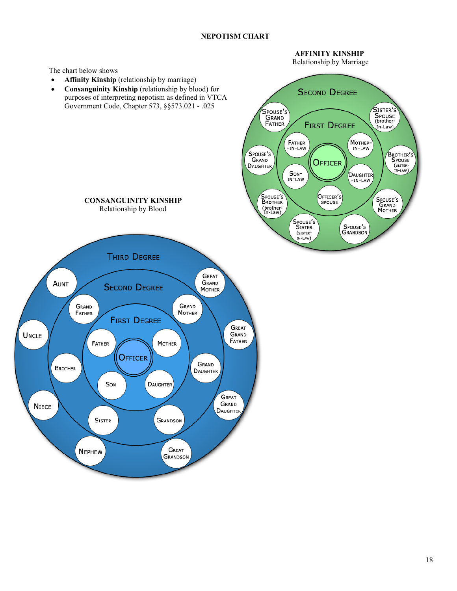## **NEPOTISM CHART**

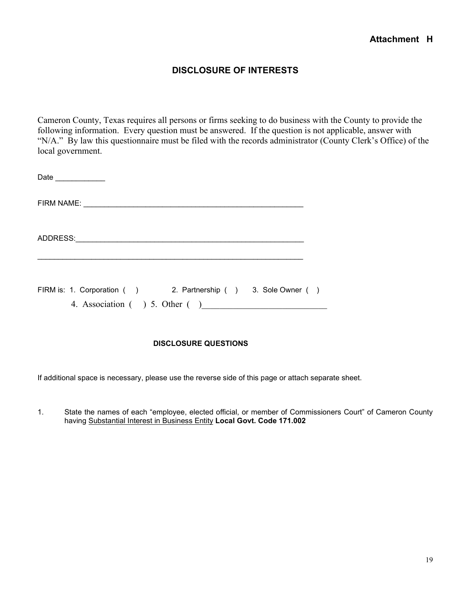# **DISCLOSURE OF INTERESTS**

Cameron County, Texas requires all persons or firms seeking to do business with the County to provide the following information. Every question must be answered. If the question is not applicable, answer with "N/A." By law this questionnaire must be filed with the records administrator (County Clerk's Office) of the local government.

| Date                                                                                             |  |  |
|--------------------------------------------------------------------------------------------------|--|--|
|                                                                                                  |  |  |
|                                                                                                  |  |  |
| FIRM is: 1. Corporation () 2. Partnership () 3. Sole Owner ()<br>4. Association ( ) 5. Other ( ) |  |  |

## **DISCLOSURE QUESTIONS**

If additional space is necessary, please use the reverse side of this page or attach separate sheet.

1. State the names of each "employee, elected official, or member of Commissioners Court" of Cameron County having Substantial Interest in Business Entity **Local Govt. Code 171.002**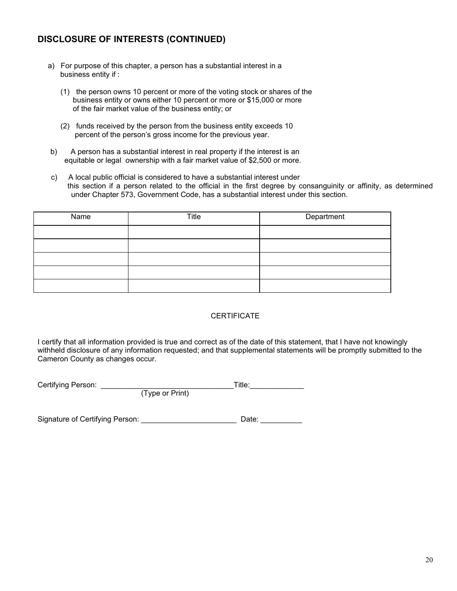# **DISCLOSURE OF INTERESTS (CONTINUED)**

- a) For purpose of this chapter, a person has a substantial interest in a business entity if :
	- (1) the person owns 10 percent or more of the voting stock or shares of the business entity or owns either 10 percent or more or \$15,000 or more of the fair market value of the business entity; or
	- (2) funds received by the person from the business entity exceeds 10 percent of the person's gross income for the previous year.
- b) A person has a substantial interest in real property if the interest is an equitable or legal ownership with a fair market value of \$2,500 or more.
- c) A local public official is considered to have a substantial interest under this section if a person related to the official in the first degree by consanguinity or affinity, as determined under Chapter 573, Government Code, has a substantial interest under this section.

| Name | Title | Department |
|------|-------|------------|
|      |       |            |
|      |       |            |
|      |       |            |
|      |       |            |
|      |       |            |

## **CERTIFICATE**

I certify that all information provided is true and correct as of the date of this statement, that I have not knowingly withheld disclosure of any information requested; and that supplemental statements will be promptly submitted to the Cameron County as changes occur.

| Certifying Person: |                 | Title: |  |
|--------------------|-----------------|--------|--|
|                    | (Type or Print) |        |  |

Signature of Certifying Person: example and the Date: example and Date: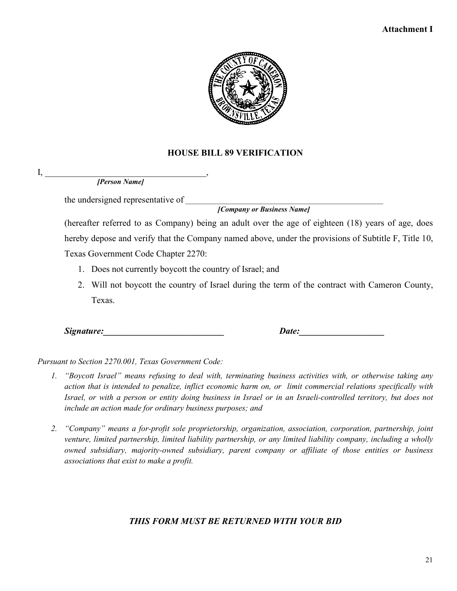# **Attachment I**



# **HOUSE BILL 89 VERIFICATION**

*[Person Name]*

 $I, \_\_$ 

the undersigned representative of \_\_\_\_\_\_\_\_\_\_\_\_\_\_\_\_\_\_\_\_\_\_\_\_\_\_\_\_\_\_\_\_\_\_\_\_\_\_\_\_\_\_\_\_\_\_\_\_\_\_\_\_\_

 *[Company or Business Name]*

(hereafter referred to as Company) being an adult over the age of eighteen (18) years of age, does hereby depose and verify that the Company named above, under the provisions of Subtitle F, Title 10,

Texas Government Code Chapter 2270:

- 1. Does not currently boycott the country of Israel; and
- 2. Will not boycott the country of Israel during the term of the contract with Cameron County, Texas.

*Signature:\_\_\_\_\_\_\_\_\_\_\_\_\_\_\_\_\_\_\_\_\_\_\_\_\_\_\_ Date:\_\_\_\_\_\_\_\_\_\_\_\_\_\_\_\_\_\_\_*

*Pursuant to Section 2270.001, Texas Government Code:*

- *1. "Boycott Israel" means refusing to deal with, terminating business activities with, or otherwise taking any action that is intended to penalize, inflict economic harm on, or limit commercial relations specifically with Israel, or with a person or entity doing business in Israel or in an Israeli-controlled territory, but does not include an action made for ordinary business purposes; and*
- *2. "Company" means a for-profit sole proprietorship, organization, association, corporation, partnership, joint venture, limited partnership, limited liability partnership, or any limited liability company, including a wholly owned subsidiary, majority-owned subsidiary, parent company or affiliate of those entities or business associations that exist to make a profit.*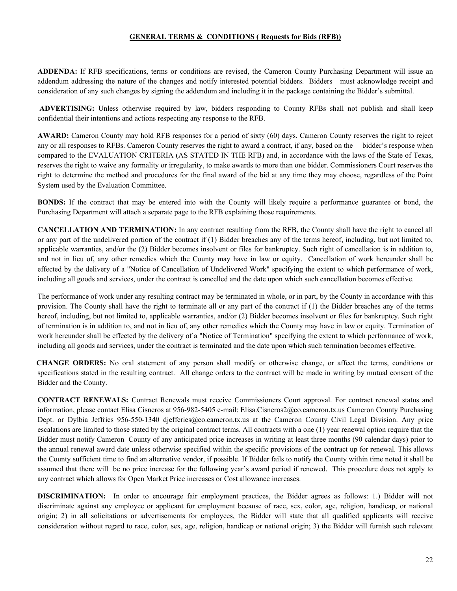## **GENERAL TERMS & CONDITIONS ( Requests for Bids (RFB))**

**ADDENDA:** If RFB specifications, terms or conditions are revised, the Cameron County Purchasing Department will issue an addendum addressing the nature of the changes and notify interested potential bidders. Bidders must acknowledge receipt and consideration of any such changes by signing the addendum and including it in the package containing the Bidder's submittal.

**ADVERTISING:** Unless otherwise required by law, bidders responding to County RFBs shall not publish and shall keep confidential their intentions and actions respecting any response to the RFB.

**AWARD:** Cameron County may hold RFB responses for a period of sixty (60) days. Cameron County reserves the right to reject any or all responses to RFBs. Cameron County reserves the right to award a contract, if any, based on the bidder's response when compared to the EVALUATION CRITERIA (AS STATED IN THE RFB) and, in accordance with the laws of the State of Texas, reserves the right to waive any formality or irregularity, to make awards to more than one bidder. Commissioners Court reserves the right to determine the method and procedures for the final award of the bid at any time they may choose, regardless of the Point System used by the Evaluation Committee.

**BONDS:** If the contract that may be entered into with the County will likely require a performance guarantee or bond, the Purchasing Department will attach a separate page to the RFB explaining those requirements.

**CANCELLATION AND TERMINATION:** In any contract resulting from the RFB, the County shall have the right to cancel all or any part of the undelivered portion of the contract if (1) Bidder breaches any of the terms hereof, including, but not limited to, applicable warranties, and/or the (2) Bidder becomes insolvent or files for bankruptcy. Such right of cancellation is in addition to, and not in lieu of, any other remedies which the County may have in law or equity. Cancellation of work hereunder shall be effected by the delivery of a "Notice of Cancellation of Undelivered Work" specifying the extent to which performance of work, including all goods and services, under the contract is cancelled and the date upon which such cancellation becomes effective.

The performance of work under any resulting contract may be terminated in whole, or in part, by the County in accordance with this provision. The County shall have the right to terminate all or any part of the contract if (1) the Bidder breaches any of the terms hereof, including, but not limited to, applicable warranties, and/or (2) Bidder becomes insolvent or files for bankruptcy. Such right of termination is in addition to, and not in lieu of, any other remedies which the County may have in law or equity. Termination of work hereunder shall be effected by the delivery of a "Notice of Termination" specifying the extent to which performance of work, including all goods and services, under the contract is terminated and the date upon which such termination becomes effective.

 **CHANGE ORDERS:** No oral statement of any person shall modify or otherwise change, or affect the terms, conditions or specifications stated in the resulting contract. All change orders to the contract will be made in writing by mutual consent of the Bidder and the County.

**CONTRACT RENEWALS:** Contract Renewals must receive Commissioners Court approval. For contract renewal status and information, please contact Elisa Cisneros at 956-982-5405 e-mail: [Elisa.Cisneros2@co.cameron.tx.us](mailto:Elisa.Cisneros2@co.cameron.tx.us) Cameron County Purchasing Dept. or Dylbia Jeffries 956-550-1340 [djefferies@co.cameron.tx.us](mailto:djefferies@co.cameron.tx.us) at the Cameron County Civil Legal Division. Any price escalations are limited to those stated by the original contract terms. All contracts with a one (1) year renewal option require that the Bidder must notify Cameron County of any anticipated price increases in writing at least three months (90 calendar days) prior to the annual renewal award date unless otherwise specified within the specific provisions of the contract up for renewal. This allows the County sufficient time to find an alternative vendor, if possible. If Bidder fails to notify the County within time noted it shall be assumed that there will be no price increase for the following year's award period if renewed. This procedure does not apply to any contract which allows for Open Market Price increases or Cost allowance increases.

**DISCRIMINATION:** In order to encourage fair employment practices, the Bidder agrees as follows: 1.) Bidder will not discriminate against any employee or applicant for employment because of race, sex, color, age, religion, handicap, or national origin; 2) in all solicitations or advertisements for employees, the Bidder will state that all qualified applicants will receive consideration without regard to race, color, sex, age, religion, handicap or national origin; 3) the Bidder will furnish such relevant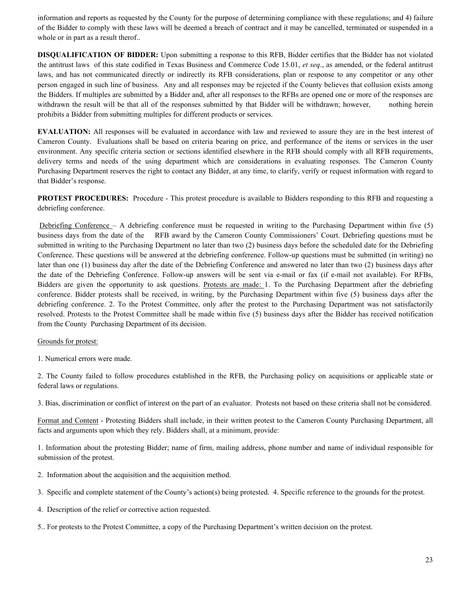information and reports as requested by the County for the purpose of determining compliance with these regulations; and 4) failure of the Bidder to comply with these laws will be deemed a breach of contract and it may be cancelled, terminated or suspended in a whole or in part as a result therof..

**DISQUALIFICATION OF BIDDER:** Upon submitting a response to this RFB, Bidder certifies that the Bidder has not violated the antitrust laws of this state codified in Texas Business and Commerce Code 15.01, *et seq*., as amended, or the federal antitrust laws, and has not communicated directly or indirectly its RFB considerations, plan or response to any competitor or any other person engaged in such line of business. Any and all responses may be rejected if the County believes that collusion exists among the Bidders. If multiples are submitted by a Bidder and, after all responses to the RFBs are opened one or more of the responses are withdrawn the result will be that all of the responses submitted by that Bidder will be withdrawn; however, nothing herein prohibits a Bidder from submitting multiples for different products or services.

**EVALUATION:** All responses will be evaluated in accordance with law and reviewed to assure they are in the best interest of Cameron County. Evaluations shall be based on criteria bearing on price, and performance of the items or services in the user environment. Any specific criteria section or sections identified elsewhere in the RFB should comply with all RFB requirements, delivery terms and needs of the using department which are considerations in evaluating responses. The Cameron County Purchasing Department reserves the right to contact any Bidder, at any time, to clarify, verify or request information with regard to that Bidder's response.

**PROTEST PROCEDURES:** Procedure - This protest procedure is available to Bidders responding to this RFB and requesting a debriefing conference.

Debriefing Conference – A debriefing conference must be requested in writing to the Purchasing Department within five (5) business days from the date of the RFB award by the Cameron County Commissioners' Court. Debriefing questions must be submitted in writing to the Purchasing Department no later than two (2) business days before the scheduled date for the Debriefing Conference. These questions will be answered at the debriefing conference. Follow-up questions must be submitted (in writing) no later than one (1) business day after the date of the Debriefing Conference and answered no later than two (2) business days after the date of the Debriefing Conference. Follow-up answers will be sent via e-mail or fax (if e-mail not available). For RFBs, Bidders are given the opportunity to ask questions. Protests are made: 1. To the Purchasing Department after the debriefing conference. Bidder protests shall be received, in writing, by the Purchasing Department within five (5) business days after the debriefing conference. 2. To the Protest Committee, only after the protest to the Purchasing Department was not satisfactorily resolved. Protests to the Protest Committee shall be made within five (5) business days after the Bidder has received notification from the County Purchasing Department of its decision.

## Grounds for protest:

1. Numerical errors were made.

2. The County failed to follow procedures established in the RFB, the Purchasing policy on acquisitions or applicable state or federal laws or regulations.

3. Bias, discrimination or conflict of interest on the part of an evaluator. Protests not based on these criteria shall not be considered.

Format and Content - Protesting Bidders shall include, in their written protest to the Cameron County Purchasing Department, all facts and arguments upon which they rely. Bidders shall, at a minimum, provide:

1. Information about the protesting Bidder; name of firm, mailing address, phone number and name of individual responsible for submission of the protest.

- 2. Information about the acquisition and the acquisition method.
- 3. Specific and complete statement of the County's action(s) being protested. 4. Specific reference to the grounds for the protest.
- 4. Description of the relief or corrective action requested.
- 5.. For protests to the Protest Committee, a copy of the Purchasing Department's written decision on the protest.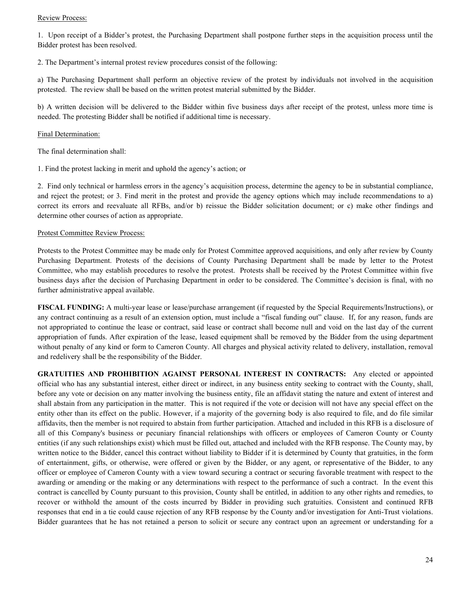## Review Process:

1. Upon receipt of a Bidder's protest, the Purchasing Department shall postpone further steps in the acquisition process until the Bidder protest has been resolved.

2. The Department's internal protest review procedures consist of the following:

a) The Purchasing Department shall perform an objective review of the protest by individuals not involved in the acquisition protested. The review shall be based on the written protest material submitted by the Bidder.

b) A written decision will be delivered to the Bidder within five business days after receipt of the protest, unless more time is needed. The protesting Bidder shall be notified if additional time is necessary.

## Final Determination:

The final determination shall:

1. Find the protest lacking in merit and uphold the agency's action; or

2. Find only technical or harmless errors in the agency's acquisition process, determine the agency to be in substantial compliance, and reject the protest; or 3. Find merit in the protest and provide the agency options which may include recommendations to a) correct its errors and reevaluate all RFBs, and/or b) reissue the Bidder solicitation document; or c) make other findings and determine other courses of action as appropriate.

## Protest Committee Review Process:

Protests to the Protest Committee may be made only for Protest Committee approved acquisitions, and only after review by County Purchasing Department. Protests of the decisions of County Purchasing Department shall be made by letter to the Protest Committee, who may establish procedures to resolve the protest. Protests shall be received by the Protest Committee within five business days after the decision of Purchasing Department in order to be considered. The Committee's decision is final, with no further administrative appeal available.

**FISCAL FUNDING:** A multi-year lease or lease/purchase arrangement (if requested by the Special Requirements/Instructions), or any contract continuing as a result of an extension option, must include a "fiscal funding out" clause. If, for any reason, funds are not appropriated to continue the lease or contract, said lease or contract shall become null and void on the last day of the current appropriation of funds. After expiration of the lease, leased equipment shall be removed by the Bidder from the using department without penalty of any kind or form to Cameron County. All charges and physical activity related to delivery, installation, removal and redelivery shall be the responsibility of the Bidder.

**GRATUITIES AND PROHIBITION AGAINST PERSONAL INTEREST IN CONTRACTS:** Any elected or appointed official who has any substantial interest, either direct or indirect, in any business entity seeking to contract with the County, shall, before any vote or decision on any matter involving the business entity, file an affidavit stating the nature and extent of interest and shall abstain from any participation in the matter. This is not required if the vote or decision will not have any special effect on the entity other than its effect on the public. However, if a majority of the governing body is also required to file, and do file similar affidavits, then the member is not required to abstain from further participation. Attached and included in this RFB is a disclosure of all of this Company's business or pecuniary financial relationships with officers or employees of Cameron County or County entities (if any such relationships exist) which must be filled out, attached and included with the RFB response. The County may, by written notice to the Bidder, cancel this contract without liability to Bidder if it is determined by County that gratuities, in the form of entertainment, gifts, or otherwise, were offered or given by the Bidder, or any agent, or representative of the Bidder, to any officer or employee of Cameron County with a view toward securing a contract or securing favorable treatment with respect to the awarding or amending or the making or any determinations with respect to the performance of such a contract. In the event this contract is cancelled by County pursuant to this provision, County shall be entitled, in addition to any other rights and remedies, to recover or withhold the amount of the costs incurred by Bidder in providing such gratuities. Consistent and continued RFB responses that end in a tie could cause rejection of any RFB response by the County and/or investigation for Anti-Trust violations. Bidder guarantees that he has not retained a person to solicit or secure any contract upon an agreement or understanding for a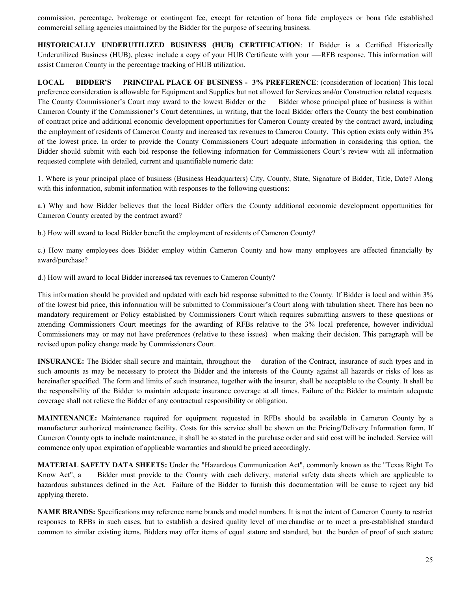commission, percentage, brokerage or contingent fee, except for retention of bona fide employees or bona fide established commercial selling agencies maintained by the Bidder for the purpose of securing business.

**HISTORICALLY UNDERUTILIZED BUSINESS (HUB) CERTIFICATION**: If Bidder is a Certified Historically Underutilized Business (HUB), please include a copy of your HUB Certificate with your —RFB response. This information will assist Cameron County in the percentage tracking of HUB utilization.

**LOCAL BIDDER'S PRINCIPAL PLACE OF BUSINESS - 3% PREFERENCE**: (consideration of location) This local preference consideration is allowable for Equipment and Supplies but not allowed for Services and/or Construction related requests. The County Commissioner's Court may award to the lowest Bidder or the Bidder whose principal place of business is within Cameron County if the Commissioner's Court determines, in writing, that the local Bidder offers the County the best combination of contract price and additional economic development opportunities for Cameron County created by the contract award, including the employment of residents of Cameron County and increased tax revenues to Cameron County. This option exists only within 3% of the lowest price. In order to provide the County Commissioners Court adequate information in considering this option, the Bidder should submit with each bid response the following information for Commissioners Court's review with all information requested complete with detailed, current and quantifiable numeric data:

1. Where is your principal place of business (Business Headquarters) City, County, State, Signature of Bidder, Title, Date? Along with this information, submit information with responses to the following questions:

a.) Why and how Bidder believes that the local Bidder offers the County additional economic development opportunities for Cameron County created by the contract award?

b.) How will award to local Bidder benefit the employment of residents of Cameron County?

c.) How many employees does Bidder employ within Cameron County and how many employees are affected financially by award/purchase?

d.) How will award to local Bidder increased tax revenues to Cameron County?

This information should be provided and updated with each bid response submitted to the County. If Bidder is local and within 3% of the lowest bid price, this information will be submitted to Commissioner's Court along with tabulation sheet. There has been no mandatory requirement or Policy established by Commissioners Court which requires submitting answers to these questions or attending Commissioners Court meetings for the awarding of RFBs relative to the 3% local preference, however individual Commissioners may or may not have preferences (relative to these issues) when making their decision. This paragraph will be revised upon policy change made by Commissioners Court.

**INSURANCE:** The Bidder shall secure and maintain, throughout the duration of the Contract, insurance of such types and in such amounts as may be necessary to protect the Bidder and the interests of the County against all hazards or risks of loss as hereinafter specified. The form and limits of such insurance, together with the insurer, shall be acceptable to the County. It shall be the responsibility of the Bidder to maintain adequate insurance coverage at all times. Failure of the Bidder to maintain adequate coverage shall not relieve the Bidder of any contractual responsibility or obligation.

**MAINTENANCE:** Maintenance required for equipment requested in RFBs should be available in Cameron County by a manufacturer authorized maintenance facility. Costs for this service shall be shown on the Pricing/Delivery Information form. If Cameron County opts to include maintenance, it shall be so stated in the purchase order and said cost will be included. Service will commence only upon expiration of applicable warranties and should be priced accordingly.

**MATERIAL SAFETY DATA SHEETS:** Under the "Hazardous Communication Act", commonly known as the "Texas Right To Know Act", a Bidder must provide to the County with each delivery, material safety data sheets which are applicable to hazardous substances defined in the Act. Failure of the Bidder to furnish this documentation will be cause to reject any bid applying thereto.

**NAME BRANDS:** Specifications may reference name brands and model numbers. It is not the intent of Cameron County to restrict responses to RFBs in such cases, but to establish a desired quality level of merchandise or to meet a pre-established standard common to similar existing items. Bidders may offer items of equal stature and standard, but the burden of proof of such stature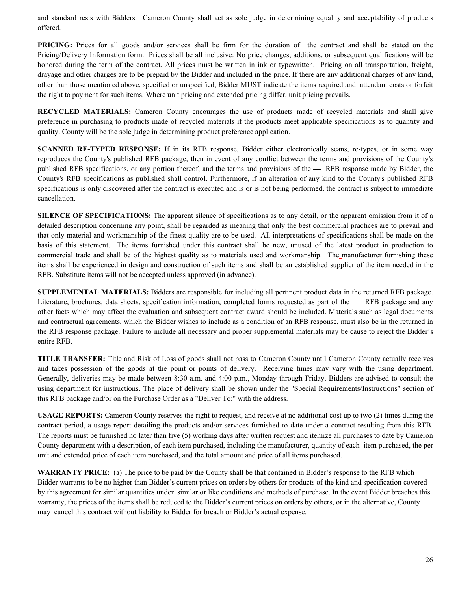and standard rests with Bidders. Cameron County shall act as sole judge in determining equality and acceptability of products offered.

**PRICING:** Prices for all goods and/or services shall be firm for the duration of the contract and shall be stated on the Pricing/Delivery Information form. Prices shall be all inclusive: No price changes, additions, or subsequent qualifications will be honored during the term of the contract. All prices must be written in ink or typewritten. Pricing on all transportation, freight, drayage and other charges are to be prepaid by the Bidder and included in the price. If there are any additional charges of any kind, other than those mentioned above, specified or unspecified, Bidder MUST indicate the items required and attendant costs or forfeit the right to payment for such items. Where unit pricing and extended pricing differ, unit pricing prevails.

**RECYCLED MATERIALS:** Cameron County encourages the use of products made of recycled materials and shall give preference in purchasing to products made of recycled materials if the products meet applicable specifications as to quantity and quality. County will be the sole judge in determining product preference application.

**SCANNED RE-TYPED RESPONSE:** If in its RFB response, Bidder either electronically scans, re-types, or in some way reproduces the County's published RFB package, then in event of any conflict between the terms and provisions of the County's published RFB specifications, or any portion thereof, and the terms and provisions of the  $-$  RFB response made by Bidder, the County's RFB specifications as published shall control. Furthermore, if an alteration of any kind to the County's published RFB specifications is only discovered after the contract is executed and is or is not being performed, the contract is subject to immediate cancellation.

**SILENCE OF SPECIFICATIONS:** The apparent silence of specifications as to any detail, or the apparent omission from it of a detailed description concerning any point, shall be regarded as meaning that only the best commercial practices are to prevail and that only material and workmanship of the finest quality are to be used. All interpretations of specifications shall be made on the basis of this statement. The items furnished under this contract shall be new, unused of the latest product in production to commercial trade and shall be of the highest quality as to materials used and workmanship. The manufacturer furnishing these items shall be experienced in design and construction of such items and shall be an established supplier of the item needed in the RFB. Substitute items will not be accepted unless approved (in advance).

**SUPPLEMENTAL MATERIALS:** Bidders are responsible for including all pertinent product data in the returned RFB package. Literature, brochures, data sheets, specification information, completed forms requested as part of the — RFB package and any other facts which may affect the evaluation and subsequent contract award should be included. Materials such as legal documents and contractual agreements, which the Bidder wishes to include as a condition of an RFB response, must also be in the returned in the RFB response package. Failure to include all necessary and proper supplemental materials may be cause to reject the Bidder's entire RFB.

**TITLE TRANSFER:** Title and Risk of Loss of goods shall not pass to Cameron County until Cameron County actually receives and takes possession of the goods at the point or points of delivery. Receiving times may vary with the using department. Generally, deliveries may be made between 8:30 a.m. and 4:00 p.m., Monday through Friday. Bidders are advised to consult the using department for instructions. The place of delivery shall be shown under the "Special Requirements/Instructions" section of this RFB package and/or on the Purchase Order as a "Deliver To:" with the address.

**USAGE REPORTS:** Cameron County reserves the right to request, and receive at no additional cost up to two (2) times during the contract period, a usage report detailing the products and/or services furnished to date under a contract resulting from this RFB. The reports must be furnished no later than five (5) working days after written request and itemize all purchases to date by Cameron County department with a description, of each item purchased, including the manufacturer, quantity of each item purchased, the per unit and extended price of each item purchased, and the total amount and price of all items purchased.

**WARRANTY PRICE:** (a) The price to be paid by the County shall be that contained in Bidder's response to the RFB which Bidder warrants to be no higher than Bidder's current prices on orders by others for products of the kind and specification covered by this agreement for similar quantities under similar or like conditions and methods of purchase. In the event Bidder breaches this warranty, the prices of the items shall be reduced to the Bidder's current prices on orders by others, or in the alternative, County may cancel this contract without liability to Bidder for breach or Bidder's actual expense.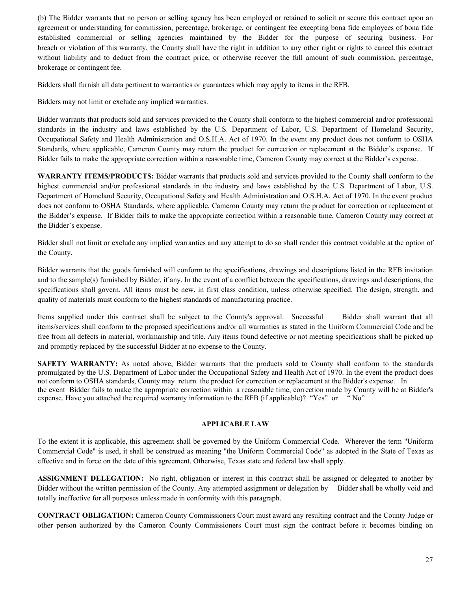(b) The Bidder warrants that no person or selling agency has been employed or retained to solicit or secure this contract upon an agreement or understanding for commission, percentage, brokerage, or contingent fee excepting bona fide employees of bona fide established commercial or selling agencies maintained by the Bidder for the purpose of securing business. For breach or violation of this warranty, the County shall have the right in addition to any other right or rights to cancel this contract without liability and to deduct from the contract price, or otherwise recover the full amount of such commission, percentage, brokerage or contingent fee.

Bidders shall furnish all data pertinent to warranties or guarantees which may apply to items in the RFB.

Bidders may not limit or exclude any implied warranties.

Bidder warrants that products sold and services provided to the County shall conform to the highest commercial and/or professional standards in the industry and laws established by the U.S. Department of Labor, U.S. Department of Homeland Security, Occupational Safety and Health Administration and O.S.H.A. Act of 1970. In the event any product does not conform to OSHA Standards, where applicable, Cameron County may return the product for correction or replacement at the Bidder's expense. If Bidder fails to make the appropriate correction within a reasonable time, Cameron County may correct at the Bidder's expense.

**WARRANTY ITEMS/PRODUCTS:** Bidder warrants that products sold and services provided to the County shall conform to the highest commercial and/or professional standards in the industry and laws established by the U.S. Department of Labor, U.S. Department of Homeland Security, Occupational Safety and Health Administration and O.S.H.A. Act of 1970. In the event product does not conform to OSHA Standards, where applicable, Cameron County may return the product for correction or replacement at the Bidder's expense. If Bidder fails to make the appropriate correction within a reasonable time, Cameron County may correct at the Bidder's expense.

Bidder shall not limit or exclude any implied warranties and any attempt to do so shall render this contract voidable at the option of the County.

Bidder warrants that the goods furnished will conform to the specifications, drawings and descriptions listed in the RFB invitation and to the sample(s) furnished by Bidder, if any. In the event of a conflict between the specifications, drawings and descriptions, the specifications shall govern. All items must be new, in first class condition, unless otherwise specified. The design, strength, and quality of materials must conform to the highest standards of manufacturing practice.

Items supplied under this contract shall be subject to the County's approval. Successful Bidder shall warrant that all items/services shall conform to the proposed specifications and/or all warranties as stated in the Uniform Commercial Code and be free from all defects in material, workmanship and title. Any items found defective or not meeting specifications shall be picked up and promptly replaced by the successful Bidder at no expense to the County.

**SAFETY WARRANTY:** As noted above, Bidder warrants that the products sold to County shall conform to the standards promulgated by the U.S. Department of Labor under the Occupational Safety and Health Act of 1970. In the event the product does not conform to OSHA standards, County may return the product for correction or replacement at the Bidder's expense. In the event Bidder fails to make the appropriate correction within a reasonable time, correction made by County will be at Bidder's expense. Have you attached the required warranty information to the RFB (if applicable)? "Yes" or " No"

## **APPLICABLE LAW**

To the extent it is applicable, this agreement shall be governed by the Uniform Commercial Code. Wherever the term "Uniform Commercial Code" is used, it shall be construed as meaning "the Uniform Commercial Code" as adopted in the State of Texas as effective and in force on the date of this agreement. Otherwise, Texas state and federal law shall apply.

**ASSIGNMENT DELEGATION:** No right, obligation or interest in this contract shall be assigned or delegated to another by Bidder without the written permission of the County. Any attempted assignment or delegation by Bidder shall be wholly void and totally ineffective for all purposes unless made in conformity with this paragraph.

**CONTRACT OBLIGATION:** Cameron County Commissioners Court must award any resulting contract and the County Judge or other person authorized by the Cameron County Commissioners Court must sign the contract before it becomes binding on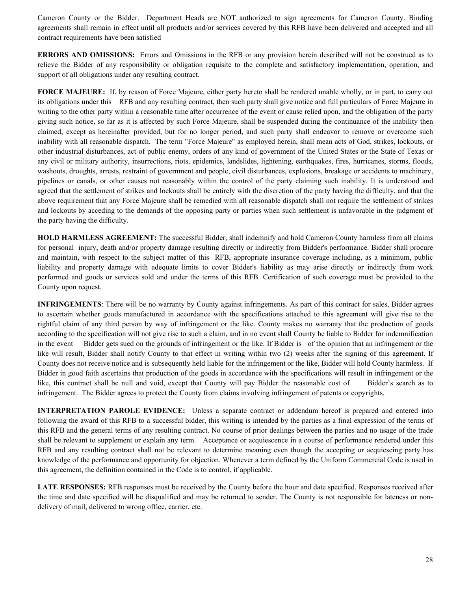Cameron County or the Bidder. Department Heads are NOT authorized to sign agreements for Cameron County. Binding agreements shall remain in effect until all products and/or services covered by this RFB have been delivered and accepted and all contract requirements have been satisfied

**ERRORS AND OMISSIONS:** Errors and Omissions in the RFB or any provision herein described will not be construed as to relieve the Bidder of any responsibility or obligation requisite to the complete and satisfactory implementation, operation, and support of all obligations under any resulting contract.

**FORCE MAJEURE:** If, by reason of Force Majeure, either party hereto shall be rendered unable wholly, or in part, to carry out its obligations under this RFB and any resulting contract, then such party shall give notice and full particulars of Force Majeure in writing to the other party within a reasonable time after occurrence of the event or cause relied upon, and the obligation of the party giving such notice, so far as it is affected by such Force Majeure, shall be suspended during the continuance of the inability then claimed, except as hereinafter provided, but for no longer period, and such party shall endeavor to remove or overcome such inability with all reasonable dispatch. The term "Force Majeure" as employed herein, shall mean acts of God, strikes, lockouts, or other industrial disturbances, act of public enemy, orders of any kind of government of the United States or the State of Texas or any civil or military authority, insurrections, riots, epidemics, landslides, lightening, earthquakes, fires, hurricanes, storms, floods, washouts, droughts, arrests, restraint of government and people, civil disturbances, explosions, breakage or accidents to machinery, pipelines or canals, or other causes not reasonably within the control of the party claiming such inability. It is understood and agreed that the settlement of strikes and lockouts shall be entirely with the discretion of the party having the difficulty, and that the above requirement that any Force Majeure shall be remedied with all reasonable dispatch shall not require the settlement of strikes and lockouts by acceding to the demands of the opposing party or parties when such settlement is unfavorable in the judgment of the party having the difficulty.

**HOLD HARMLESS AGREEMENT:** The successful Bidder, shall indemnify and hold Cameron County harmless from all claims for personal injury, death and/or property damage resulting directly or indirectly from Bidder's performance. Bidder shall procure and maintain, with respect to the subject matter of this RFB, appropriate insurance coverage including, as a minimum, public liability and property damage with adequate limits to cover Bidder's liability as may arise directly or indirectly from work performed and goods or services sold and under the terms of this RFB. Certification of such coverage must be provided to the County upon request.

**INFRINGEMENTS**: There will be no warranty by County against infringements. As part of this contract for sales, Bidder agrees to ascertain whether goods manufactured in accordance with the specifications attached to this agreement will give rise to the rightful claim of any third person by way of infringement or the like. County makes no warranty that the production of goods according to the specification will not give rise to such a claim, and in no event shall County be liable to Bidder for indemnification in the event Bidder gets sued on the grounds of infringement or the like. If Bidder is of the opinion that an infringement or the like will result, Bidder shall notify County to that effect in writing within two (2) weeks after the signing of this agreement. If County does not receive notice and is subsequently held liable for the infringement or the like, Bidder will hold County harmless. If Bidder in good faith ascertains that production of the goods in accordance with the specifications will result in infringement or the like, this contract shall be null and void, except that County will pay Bidder the reasonable cost of Bidder's search as to infringement. The Bidder agrees to protect the County from claims involving infringement of patents or copyrights.

**INTERPRETATION PAROLE EVIDENCE:** Unless a separate contract or addendum hereof is prepared and entered into following the award of this RFB to a successful bidder, this writing is intended by the parties as a final expression of the terms of this RFB and the general terms of any resulting contract. No course of prior dealings between the parties and no usage of the trade shall be relevant to supplement or explain any term. Acceptance or acquiescence in a course of performance rendered under this RFB and any resulting contract shall not be relevant to determine meaning even though the accepting or acquiescing party has knowledge of the performance and opportunity for objection. Whenever a term defined by the Uniform Commercial Code is used in this agreement, the definition contained in the Code is to control, if applicable.

**LATE RESPONSES:** RFB responses must be received by the County before the hour and date specified. Responses received after the time and date specified will be disqualified and may be returned to sender. The County is not responsible for lateness or nondelivery of mail, delivered to wrong office, carrier, etc.